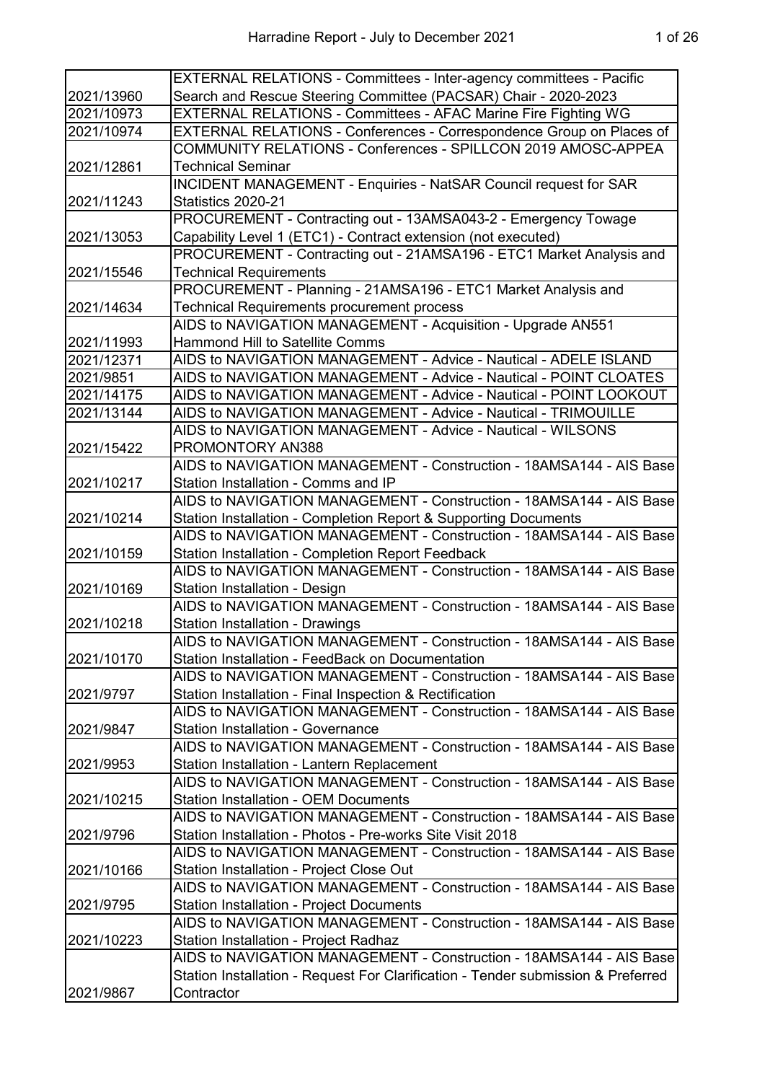|            | EXTERNAL RELATIONS - Committees - Inter-agency committees - Pacific              |
|------------|----------------------------------------------------------------------------------|
| 2021/13960 | Search and Rescue Steering Committee (PACSAR) Chair - 2020-2023                  |
| 2021/10973 | EXTERNAL RELATIONS - Committees - AFAC Marine Fire Fighting WG                   |
| 2021/10974 | EXTERNAL RELATIONS - Conferences - Correspondence Group on Places of             |
|            | COMMUNITY RELATIONS - Conferences - SPILLCON 2019 AMOSC-APPEA                    |
| 2021/12861 | <b>Technical Seminar</b>                                                         |
|            | <b>INCIDENT MANAGEMENT - Enquiries - NatSAR Council request for SAR</b>          |
| 2021/11243 | Statistics 2020-21                                                               |
|            | PROCUREMENT - Contracting out - 13AMSA043-2 - Emergency Towage                   |
| 2021/13053 | Capability Level 1 (ETC1) - Contract extension (not executed)                    |
|            | PROCUREMENT - Contracting out - 21AMSA196 - ETC1 Market Analysis and             |
| 2021/15546 | <b>Technical Requirements</b>                                                    |
|            | PROCUREMENT - Planning - 21AMSA196 - ETC1 Market Analysis and                    |
| 2021/14634 | <b>Technical Requirements procurement process</b>                                |
|            | AIDS to NAVIGATION MANAGEMENT - Acquisition - Upgrade AN551                      |
| 2021/11993 | <b>Hammond Hill to Satellite Comms</b>                                           |
| 2021/12371 | AIDS to NAVIGATION MANAGEMENT - Advice - Nautical - ADELE ISLAND                 |
| 2021/9851  | AIDS to NAVIGATION MANAGEMENT - Advice - Nautical - POINT CLOATES                |
| 2021/14175 | AIDS to NAVIGATION MANAGEMENT - Advice - Nautical - POINT LOOKOUT                |
| 2021/13144 | AIDS to NAVIGATION MANAGEMENT - Advice - Nautical - TRIMOUILLE                   |
|            | AIDS to NAVIGATION MANAGEMENT - Advice - Nautical - WILSONS                      |
| 2021/15422 | PROMONTORY AN388                                                                 |
|            | AIDS to NAVIGATION MANAGEMENT - Construction - 18AMSA144 - AIS Base              |
| 2021/10217 | Station Installation - Comms and IP                                              |
|            | AIDS to NAVIGATION MANAGEMENT - Construction - 18AMSA144 - AIS Base              |
| 2021/10214 | Station Installation - Completion Report & Supporting Documents                  |
|            | AIDS to NAVIGATION MANAGEMENT - Construction - 18AMSA144 - AIS Base              |
| 2021/10159 | <b>Station Installation - Completion Report Feedback</b>                         |
|            | AIDS to NAVIGATION MANAGEMENT - Construction - 18AMSA144 - AIS Base              |
| 2021/10169 | Station Installation - Design                                                    |
|            | AIDS to NAVIGATION MANAGEMENT - Construction - 18AMSA144 - AIS Base              |
| 2021/10218 | <b>Station Installation - Drawings</b>                                           |
|            | AIDS to NAVIGATION MANAGEMENT - Construction - 18AMSA144 - AIS Base              |
| 2021/10170 | Station Installation - FeedBack on Documentation                                 |
|            | AIDS to NAVIGATION MANAGEMENT - Construction - 18AMSA144 - AIS Base              |
| 2021/9797  | Station Installation - Final Inspection & Rectification                          |
|            | AIDS to NAVIGATION MANAGEMENT - Construction - 18AMSA144 - AIS Base              |
| 2021/9847  | <b>Station Installation - Governance</b>                                         |
|            | AIDS to NAVIGATION MANAGEMENT - Construction - 18AMSA144 - AIS Base              |
| 2021/9953  | Station Installation - Lantern Replacement                                       |
|            | AIDS to NAVIGATION MANAGEMENT - Construction - 18AMSA144 - AIS Base              |
| 2021/10215 | <b>Station Installation - OEM Documents</b>                                      |
|            | AIDS to NAVIGATION MANAGEMENT - Construction - 18AMSA144 - AIS Base              |
| 2021/9796  | Station Installation - Photos - Pre-works Site Visit 2018                        |
|            | AIDS to NAVIGATION MANAGEMENT - Construction - 18AMSA144 - AIS Base              |
| 2021/10166 | Station Installation - Project Close Out                                         |
|            | AIDS to NAVIGATION MANAGEMENT - Construction - 18AMSA144 - AIS Base              |
| 2021/9795  | <b>Station Installation - Project Documents</b>                                  |
|            | AIDS to NAVIGATION MANAGEMENT - Construction - 18AMSA144 - AIS Base              |
| 2021/10223 | Station Installation - Project Radhaz                                            |
|            | AIDS to NAVIGATION MANAGEMENT - Construction - 18AMSA144 - AIS Base              |
|            | Station Installation - Request For Clarification - Tender submission & Preferred |
| 2021/9867  | Contractor                                                                       |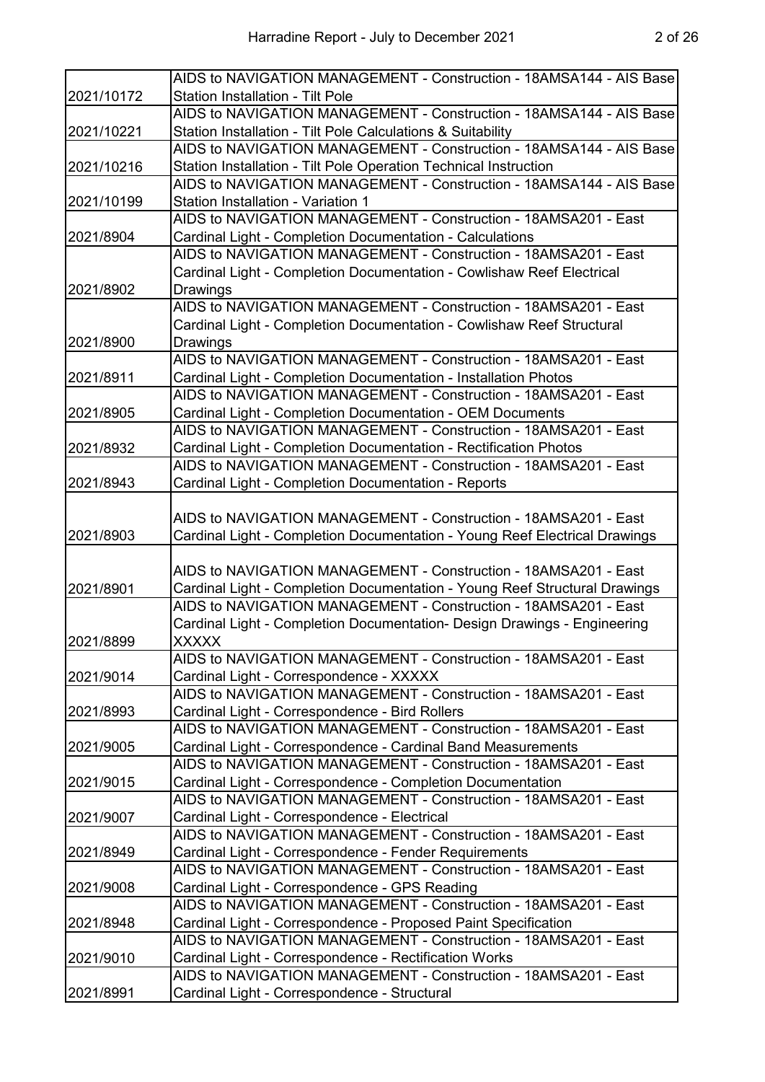|            | AIDS to NAVIGATION MANAGEMENT - Construction - 18AMSA144 - AIS Base         |
|------------|-----------------------------------------------------------------------------|
| 2021/10172 | <b>Station Installation - Tilt Pole</b>                                     |
|            | AIDS to NAVIGATION MANAGEMENT - Construction - 18AMSA144 - AIS Base         |
| 2021/10221 | Station Installation - Tilt Pole Calculations & Suitability                 |
|            | AIDS to NAVIGATION MANAGEMENT - Construction - 18AMSA144 - AIS Base         |
| 2021/10216 | Station Installation - Tilt Pole Operation Technical Instruction            |
|            | AIDS to NAVIGATION MANAGEMENT - Construction - 18AMSA144 - AIS Base         |
| 2021/10199 | <b>Station Installation - Variation 1</b>                                   |
|            | AIDS to NAVIGATION MANAGEMENT - Construction - 18AMSA201 - East             |
| 2021/8904  | Cardinal Light - Completion Documentation - Calculations                    |
|            | AIDS to NAVIGATION MANAGEMENT - Construction - 18AMSA201 - East             |
|            | Cardinal Light - Completion Documentation - Cowlishaw Reef Electrical       |
| 2021/8902  | Drawings                                                                    |
|            | AIDS to NAVIGATION MANAGEMENT - Construction - 18AMSA201 - East             |
|            | Cardinal Light - Completion Documentation - Cowlishaw Reef Structural       |
|            |                                                                             |
| 2021/8900  | Drawings<br>AIDS to NAVIGATION MANAGEMENT - Construction - 18AMSA201 - East |
|            |                                                                             |
| 2021/8911  | Cardinal Light - Completion Documentation - Installation Photos             |
|            | AIDS to NAVIGATION MANAGEMENT - Construction - 18AMSA201 - East             |
| 2021/8905  | Cardinal Light - Completion Documentation - OEM Documents                   |
|            | AIDS to NAVIGATION MANAGEMENT - Construction - 18AMSA201 - East             |
| 2021/8932  | Cardinal Light - Completion Documentation - Rectification Photos            |
|            | AIDS to NAVIGATION MANAGEMENT - Construction - 18AMSA201 - East             |
| 2021/8943  | Cardinal Light - Completion Documentation - Reports                         |
|            |                                                                             |
|            | AIDS to NAVIGATION MANAGEMENT - Construction - 18AMSA201 - East             |
| 2021/8903  | Cardinal Light - Completion Documentation - Young Reef Electrical Drawings  |
|            |                                                                             |
|            | AIDS to NAVIGATION MANAGEMENT - Construction - 18AMSA201 - East             |
| 2021/8901  | Cardinal Light - Completion Documentation - Young Reef Structural Drawings  |
|            | AIDS to NAVIGATION MANAGEMENT - Construction - 18AMSA201 - East             |
|            | Cardinal Light - Completion Documentation- Design Drawings - Engineering    |
| 2021/8899  | <b>XXXXX</b>                                                                |
|            | AIDS to NAVIGATION MANAGEMENT - Construction - 18AMSA201 - East             |
| 2021/9014  | Cardinal Light - Correspondence - XXXXX                                     |
|            | AIDS to NAVIGATION MANAGEMENT - Construction - 18AMSA201 - East             |
| 2021/8993  | Cardinal Light - Correspondence - Bird Rollers                              |
|            | AIDS to NAVIGATION MANAGEMENT - Construction - 18AMSA201 - East             |
| 2021/9005  | Cardinal Light - Correspondence - Cardinal Band Measurements                |
|            | AIDS to NAVIGATION MANAGEMENT - Construction - 18AMSA201 - East             |
| 2021/9015  | Cardinal Light - Correspondence - Completion Documentation                  |
|            | AIDS to NAVIGATION MANAGEMENT - Construction - 18AMSA201 - East             |
| 2021/9007  | Cardinal Light - Correspondence - Electrical                                |
|            | AIDS to NAVIGATION MANAGEMENT - Construction - 18AMSA201 - East             |
| 2021/8949  | Cardinal Light - Correspondence - Fender Requirements                       |
|            | AIDS to NAVIGATION MANAGEMENT - Construction - 18AMSA201 - East             |
| 2021/9008  | Cardinal Light - Correspondence - GPS Reading                               |
|            | AIDS to NAVIGATION MANAGEMENT - Construction - 18AMSA201 - East             |
| 2021/8948  | Cardinal Light - Correspondence - Proposed Paint Specification              |
|            | AIDS to NAVIGATION MANAGEMENT - Construction - 18AMSA201 - East             |
| 2021/9010  | Cardinal Light - Correspondence - Rectification Works                       |
| 2021/8991  | AIDS to NAVIGATION MANAGEMENT - Construction - 18AMSA201 - East             |
|            | Cardinal Light - Correspondence - Structural                                |
|            |                                                                             |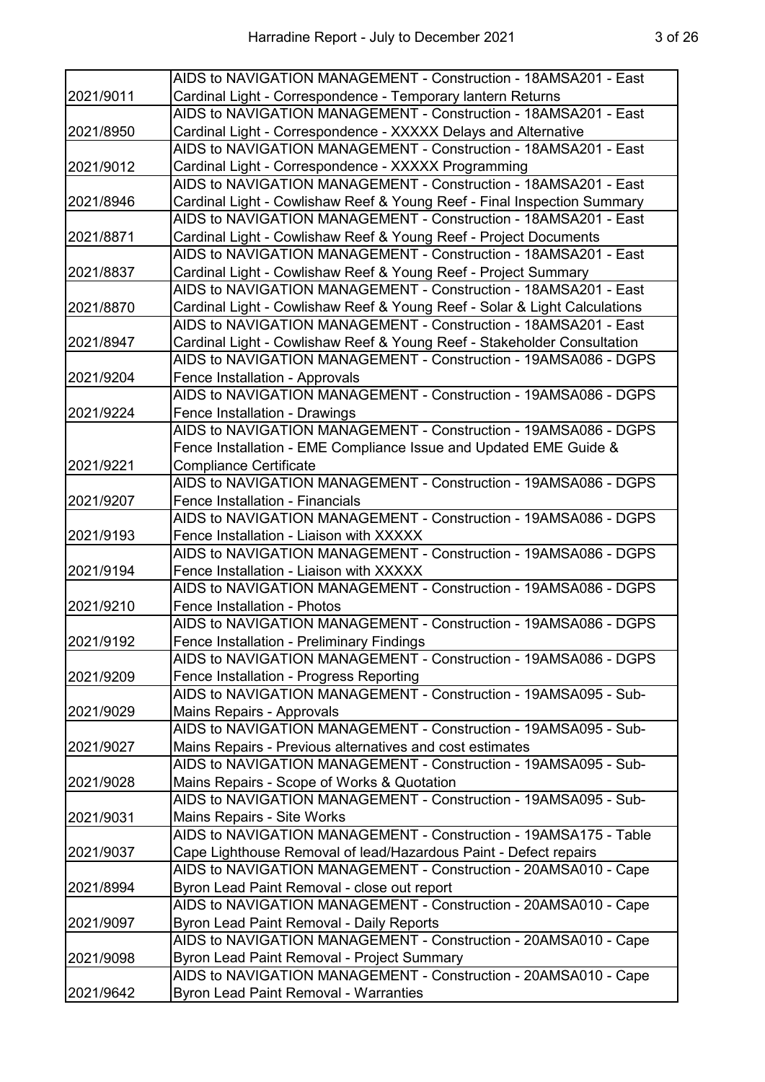|           | AIDS to NAVIGATION MANAGEMENT - Construction - 18AMSA201 - East           |
|-----------|---------------------------------------------------------------------------|
| 2021/9011 | Cardinal Light - Correspondence - Temporary lantern Returns               |
|           | AIDS to NAVIGATION MANAGEMENT - Construction - 18AMSA201 - East           |
| 2021/8950 | Cardinal Light - Correspondence - XXXXX Delays and Alternative            |
|           | AIDS to NAVIGATION MANAGEMENT - Construction - 18AMSA201 - East           |
| 2021/9012 | Cardinal Light - Correspondence - XXXXX Programming                       |
|           | AIDS to NAVIGATION MANAGEMENT - Construction - 18AMSA201 - East           |
| 2021/8946 | Cardinal Light - Cowlishaw Reef & Young Reef - Final Inspection Summary   |
|           | AIDS to NAVIGATION MANAGEMENT - Construction - 18AMSA201 - East           |
| 2021/8871 | Cardinal Light - Cowlishaw Reef & Young Reef - Project Documents          |
|           | AIDS to NAVIGATION MANAGEMENT - Construction - 18AMSA201 - East           |
| 2021/8837 | Cardinal Light - Cowlishaw Reef & Young Reef - Project Summary            |
|           | AIDS to NAVIGATION MANAGEMENT - Construction - 18AMSA201 - East           |
| 2021/8870 | Cardinal Light - Cowlishaw Reef & Young Reef - Solar & Light Calculations |
|           | AIDS to NAVIGATION MANAGEMENT - Construction - 18AMSA201 - East           |
| 2021/8947 | Cardinal Light - Cowlishaw Reef & Young Reef - Stakeholder Consultation   |
|           | AIDS to NAVIGATION MANAGEMENT - Construction - 19AMSA086 - DGPS           |
| 2021/9204 | Fence Installation - Approvals                                            |
|           | AIDS to NAVIGATION MANAGEMENT - Construction - 19AMSA086 - DGPS           |
| 2021/9224 | Fence Installation - Drawings                                             |
|           | AIDS to NAVIGATION MANAGEMENT - Construction - 19AMSA086 - DGPS           |
|           | Fence Installation - EME Compliance Issue and Updated EME Guide &         |
| 2021/9221 | <b>Compliance Certificate</b>                                             |
|           | AIDS to NAVIGATION MANAGEMENT - Construction - 19AMSA086 - DGPS           |
| 2021/9207 | <b>Fence Installation - Financials</b>                                    |
|           | AIDS to NAVIGATION MANAGEMENT - Construction - 19AMSA086 - DGPS           |
| 2021/9193 | Fence Installation - Liaison with XXXXX                                   |
|           | AIDS to NAVIGATION MANAGEMENT - Construction - 19AMSA086 - DGPS           |
| 2021/9194 | Fence Installation - Liaison with XXXXX                                   |
|           | AIDS to NAVIGATION MANAGEMENT - Construction - 19AMSA086 - DGPS           |
| 2021/9210 | <b>Fence Installation - Photos</b>                                        |
|           | AIDS to NAVIGATION MANAGEMENT - Construction - 19AMSA086 - DGPS           |
| 2021/9192 | <b>Fence Installation - Preliminary Findings</b>                          |
|           | AIDS to NAVIGATION MANAGEMENT - Construction - 19AMSA086 - DGPS           |
| 2021/9209 | Fence Installation - Progress Reporting                                   |
|           | AIDS to NAVIGATION MANAGEMENT - Construction - 19AMSA095 - Sub-           |
| 2021/9029 | Mains Repairs - Approvals                                                 |
|           | AIDS to NAVIGATION MANAGEMENT - Construction - 19AMSA095 - Sub-           |
| 2021/9027 | Mains Repairs - Previous alternatives and cost estimates                  |
|           | AIDS to NAVIGATION MANAGEMENT - Construction - 19AMSA095 - Sub-           |
| 2021/9028 | Mains Repairs - Scope of Works & Quotation                                |
|           | AIDS to NAVIGATION MANAGEMENT - Construction - 19AMSA095 - Sub-           |
| 2021/9031 | Mains Repairs - Site Works                                                |
|           | AIDS to NAVIGATION MANAGEMENT - Construction - 19AMSA175 - Table          |
| 2021/9037 | Cape Lighthouse Removal of lead/Hazardous Paint - Defect repairs          |
|           | AIDS to NAVIGATION MANAGEMENT - Construction - 20AMSA010 - Cape           |
| 2021/8994 | Byron Lead Paint Removal - close out report                               |
|           | AIDS to NAVIGATION MANAGEMENT - Construction - 20AMSA010 - Cape           |
| 2021/9097 | <b>Byron Lead Paint Removal - Daily Reports</b>                           |
|           | AIDS to NAVIGATION MANAGEMENT - Construction - 20AMSA010 - Cape           |
| 2021/9098 | <b>Byron Lead Paint Removal - Project Summary</b>                         |
|           | AIDS to NAVIGATION MANAGEMENT - Construction - 20AMSA010 - Cape           |
| 2021/9642 | <b>Byron Lead Paint Removal - Warranties</b>                              |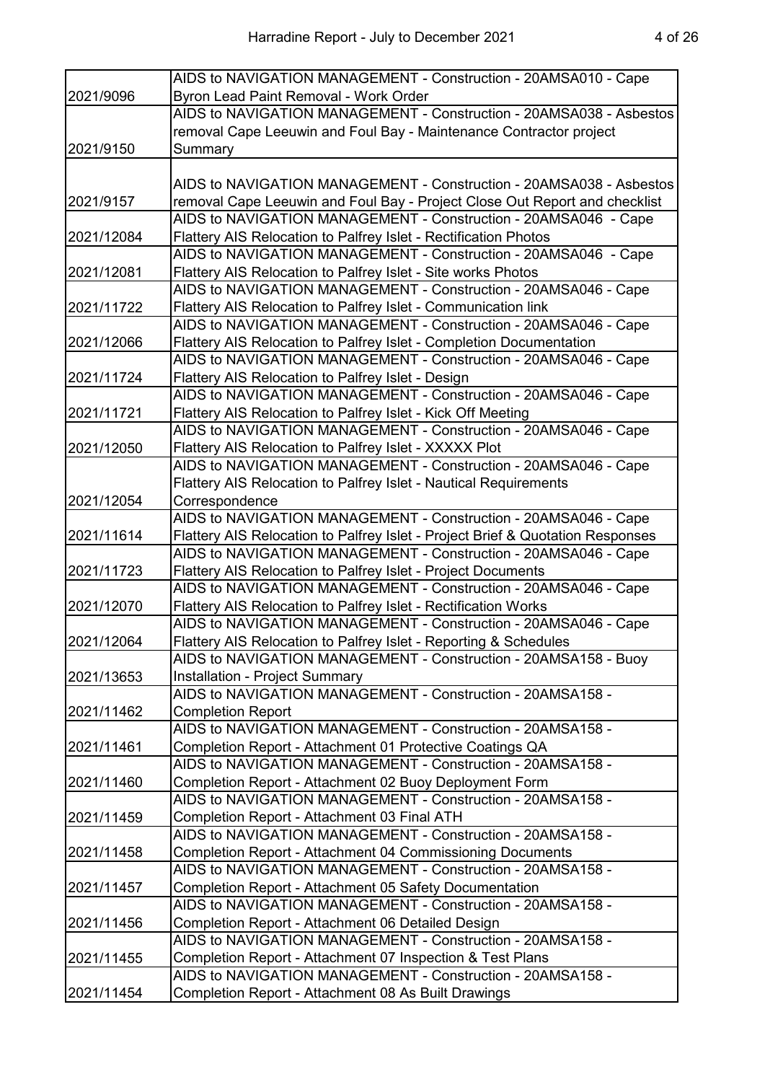|            | AIDS to NAVIGATION MANAGEMENT - Construction - 20AMSA010 - Cape                |
|------------|--------------------------------------------------------------------------------|
| 2021/9096  | Byron Lead Paint Removal - Work Order                                          |
|            | AIDS to NAVIGATION MANAGEMENT - Construction - 20AMSA038 - Asbestos            |
|            | removal Cape Leeuwin and Foul Bay - Maintenance Contractor project             |
| 2021/9150  | Summary                                                                        |
|            |                                                                                |
|            | AIDS to NAVIGATION MANAGEMENT - Construction - 20AMSA038 - Asbestos            |
| 2021/9157  | removal Cape Leeuwin and Foul Bay - Project Close Out Report and checklist     |
|            | AIDS to NAVIGATION MANAGEMENT - Construction - 20AMSA046 - Cape                |
| 2021/12084 | Flattery AIS Relocation to Palfrey Islet - Rectification Photos                |
|            | AIDS to NAVIGATION MANAGEMENT - Construction - 20AMSA046 - Cape                |
| 2021/12081 | Flattery AIS Relocation to Palfrey Islet - Site works Photos                   |
|            | AIDS to NAVIGATION MANAGEMENT - Construction - 20AMSA046 - Cape                |
| 2021/11722 | Flattery AIS Relocation to Palfrey Islet - Communication link                  |
|            | AIDS to NAVIGATION MANAGEMENT - Construction - 20AMSA046 - Cape                |
| 2021/12066 | Flattery AIS Relocation to Palfrey Islet - Completion Documentation            |
|            | AIDS to NAVIGATION MANAGEMENT - Construction - 20AMSA046 - Cape                |
| 2021/11724 | Flattery AIS Relocation to Palfrey Islet - Design                              |
|            | AIDS to NAVIGATION MANAGEMENT - Construction - 20AMSA046 - Cape                |
| 2021/11721 | Flattery AIS Relocation to Palfrey Islet - Kick Off Meeting                    |
|            | AIDS to NAVIGATION MANAGEMENT - Construction - 20AMSA046 - Cape                |
| 2021/12050 | Flattery AIS Relocation to Palfrey Islet - XXXXX Plot                          |
|            | AIDS to NAVIGATION MANAGEMENT - Construction - 20AMSA046 - Cape                |
|            | Flattery AIS Relocation to Palfrey Islet - Nautical Requirements               |
| 2021/12054 | Correspondence                                                                 |
|            | AIDS to NAVIGATION MANAGEMENT - Construction - 20AMSA046 - Cape                |
| 2021/11614 | Flattery AIS Relocation to Palfrey Islet - Project Brief & Quotation Responses |
|            | AIDS to NAVIGATION MANAGEMENT - Construction - 20AMSA046 - Cape                |
| 2021/11723 | Flattery AIS Relocation to Palfrey Islet - Project Documents                   |
|            | AIDS to NAVIGATION MANAGEMENT - Construction - 20AMSA046 - Cape                |
| 2021/12070 | Flattery AIS Relocation to Palfrey Islet - Rectification Works                 |
|            | AIDS to NAVIGATION MANAGEMENT - Construction - 20AMSA046 - Cape                |
| 2021/12064 | Flattery AIS Relocation to Palfrey Islet - Reporting & Schedules               |
|            | AIDS to NAVIGATION MANAGEMENT - Construction - 20AMSA158 - Buoy                |
| 2021/13653 | Installation - Project Summary                                                 |
|            | AIDS to NAVIGATION MANAGEMENT - Construction - 20AMSA158 -                     |
| 2021/11462 | <b>Completion Report</b>                                                       |
|            | AIDS to NAVIGATION MANAGEMENT - Construction - 20AMSA158 -                     |
| 2021/11461 | Completion Report - Attachment 01 Protective Coatings QA                       |
|            | AIDS to NAVIGATION MANAGEMENT - Construction - 20AMSA158 -                     |
| 2021/11460 | Completion Report - Attachment 02 Buoy Deployment Form                         |
|            | AIDS to NAVIGATION MANAGEMENT - Construction - 20AMSA158 -                     |
| 2021/11459 | Completion Report - Attachment 03 Final ATH                                    |
|            | AIDS to NAVIGATION MANAGEMENT - Construction - 20AMSA158 -                     |
| 2021/11458 | <b>Completion Report - Attachment 04 Commissioning Documents</b>               |
|            | AIDS to NAVIGATION MANAGEMENT - Construction - 20AMSA158 -                     |
| 2021/11457 | Completion Report - Attachment 05 Safety Documentation                         |
|            | AIDS to NAVIGATION MANAGEMENT - Construction - 20AMSA158 -                     |
| 2021/11456 | Completion Report - Attachment 06 Detailed Design                              |
|            | AIDS to NAVIGATION MANAGEMENT - Construction - 20AMSA158 -                     |
| 2021/11455 | Completion Report - Attachment 07 Inspection & Test Plans                      |
|            | AIDS to NAVIGATION MANAGEMENT - Construction - 20AMSA158 -                     |
| 2021/11454 | Completion Report - Attachment 08 As Built Drawings                            |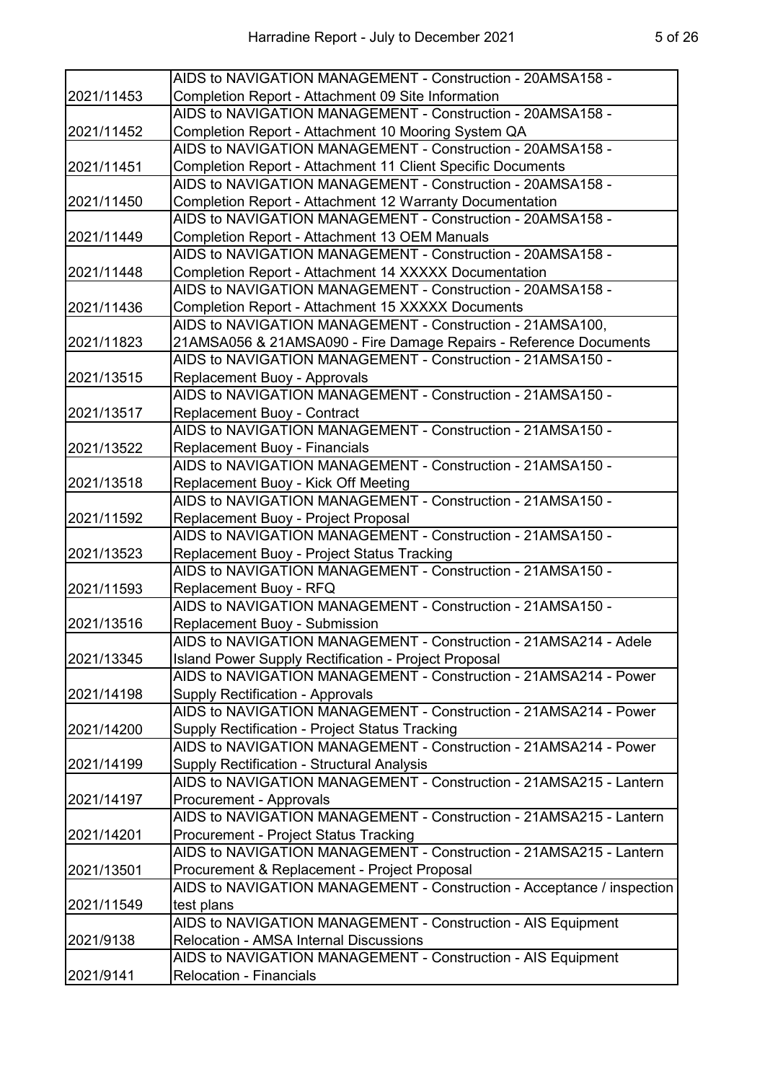|            | AIDS to NAVIGATION MANAGEMENT - Construction - 20AMSA158 -             |
|------------|------------------------------------------------------------------------|
| 2021/11453 | Completion Report - Attachment 09 Site Information                     |
|            | AIDS to NAVIGATION MANAGEMENT - Construction - 20AMSA158 -             |
| 2021/11452 | Completion Report - Attachment 10 Mooring System QA                    |
|            | AIDS to NAVIGATION MANAGEMENT - Construction - 20AMSA158 -             |
| 2021/11451 | Completion Report - Attachment 11 Client Specific Documents            |
|            | AIDS to NAVIGATION MANAGEMENT - Construction - 20AMSA158 -             |
| 2021/11450 | Completion Report - Attachment 12 Warranty Documentation               |
|            | AIDS to NAVIGATION MANAGEMENT - Construction - 20AMSA158 -             |
| 2021/11449 | Completion Report - Attachment 13 OEM Manuals                          |
|            | AIDS to NAVIGATION MANAGEMENT - Construction - 20AMSA158 -             |
| 2021/11448 | Completion Report - Attachment 14 XXXXX Documentation                  |
|            | AIDS to NAVIGATION MANAGEMENT - Construction - 20AMSA158 -             |
| 2021/11436 | Completion Report - Attachment 15 XXXXX Documents                      |
|            | AIDS to NAVIGATION MANAGEMENT - Construction - 21AMSA100,              |
| 2021/11823 | 21AMSA056 & 21AMSA090 - Fire Damage Repairs - Reference Documents      |
|            | AIDS to NAVIGATION MANAGEMENT - Construction - 21AMSA150 -             |
| 2021/13515 | <b>Replacement Buoy - Approvals</b>                                    |
|            | AIDS to NAVIGATION MANAGEMENT - Construction - 21AMSA150 -             |
| 2021/13517 | Replacement Buoy - Contract                                            |
|            | AIDS to NAVIGATION MANAGEMENT - Construction - 21AMSA150 -             |
| 2021/13522 | Replacement Buoy - Financials                                          |
|            | AIDS to NAVIGATION MANAGEMENT - Construction - 21AMSA150 -             |
| 2021/13518 | Replacement Buoy - Kick Off Meeting                                    |
|            | AIDS to NAVIGATION MANAGEMENT - Construction - 21AMSA150 -             |
| 2021/11592 | Replacement Buoy - Project Proposal                                    |
|            | AIDS to NAVIGATION MANAGEMENT - Construction - 21AMSA150 -             |
| 2021/13523 | Replacement Buoy - Project Status Tracking                             |
|            | AIDS to NAVIGATION MANAGEMENT - Construction - 21AMSA150 -             |
| 2021/11593 | Replacement Buoy - RFQ                                                 |
|            | AIDS to NAVIGATION MANAGEMENT - Construction - 21AMSA150 -             |
| 2021/13516 | Replacement Buoy - Submission                                          |
|            | AIDS to NAVIGATION MANAGEMENT - Construction - 21AMSA214 - Adele       |
| 2021/13345 | <b>Island Power Supply Rectification - Project Proposal</b>            |
|            | AIDS to NAVIGATION MANAGEMENT - Construction - 21AMSA214 - Power       |
| 2021/14198 | <b>Supply Rectification - Approvals</b>                                |
|            | AIDS to NAVIGATION MANAGEMENT - Construction - 21AMSA214 - Power       |
| 2021/14200 | Supply Rectification - Project Status Tracking                         |
|            | AIDS to NAVIGATION MANAGEMENT - Construction - 21AMSA214 - Power       |
| 2021/14199 | Supply Rectification - Structural Analysis                             |
|            | AIDS to NAVIGATION MANAGEMENT - Construction - 21AMSA215 - Lantern     |
| 2021/14197 | Procurement - Approvals                                                |
|            | AIDS to NAVIGATION MANAGEMENT - Construction - 21AMSA215 - Lantern     |
| 2021/14201 | <b>Procurement - Project Status Tracking</b>                           |
|            | AIDS to NAVIGATION MANAGEMENT - Construction - 21AMSA215 - Lantern     |
| 2021/13501 | Procurement & Replacement - Project Proposal                           |
|            | AIDS to NAVIGATION MANAGEMENT - Construction - Acceptance / inspection |
| 2021/11549 | test plans                                                             |
|            | AIDS to NAVIGATION MANAGEMENT - Construction - AIS Equipment           |
| 2021/9138  | <b>Relocation - AMSA Internal Discussions</b>                          |
|            | AIDS to NAVIGATION MANAGEMENT - Construction - AIS Equipment           |
| 2021/9141  | <b>Relocation - Financials</b>                                         |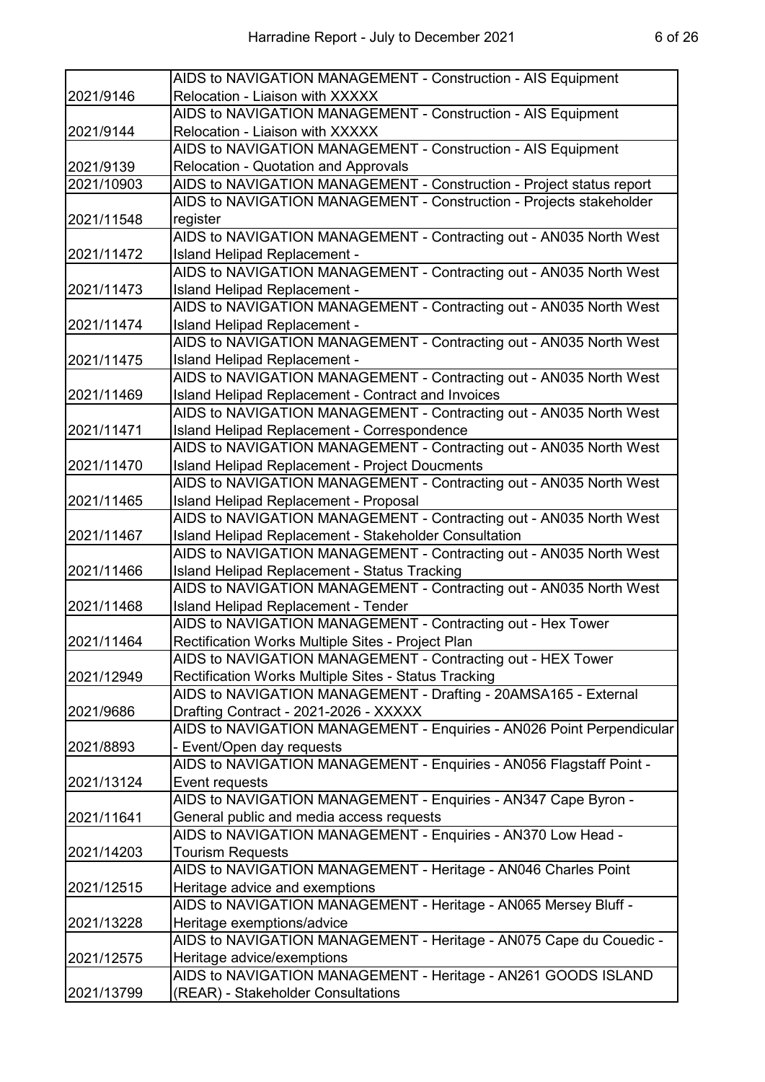|            | AIDS to NAVIGATION MANAGEMENT - Construction - AIS Equipment          |
|------------|-----------------------------------------------------------------------|
| 2021/9146  | Relocation - Liaison with XXXXX                                       |
|            | AIDS to NAVIGATION MANAGEMENT - Construction - AIS Equipment          |
| 2021/9144  | <b>Relocation - Liaison with XXXXX</b>                                |
|            | AIDS to NAVIGATION MANAGEMENT - Construction - AIS Equipment          |
| 2021/9139  | <b>Relocation - Quotation and Approvals</b>                           |
| 2021/10903 | AIDS to NAVIGATION MANAGEMENT - Construction - Project status report  |
|            | AIDS to NAVIGATION MANAGEMENT - Construction - Projects stakeholder   |
| 2021/11548 | register                                                              |
|            | AIDS to NAVIGATION MANAGEMENT - Contracting out - AN035 North West    |
| 2021/11472 | Island Helipad Replacement -                                          |
|            | AIDS to NAVIGATION MANAGEMENT - Contracting out - AN035 North West    |
| 2021/11473 | Island Helipad Replacement -                                          |
|            | AIDS to NAVIGATION MANAGEMENT - Contracting out - AN035 North West    |
| 2021/11474 | Island Helipad Replacement -                                          |
|            | AIDS to NAVIGATION MANAGEMENT - Contracting out - AN035 North West    |
| 2021/11475 | Island Helipad Replacement -                                          |
|            | AIDS to NAVIGATION MANAGEMENT - Contracting out - AN035 North West    |
| 2021/11469 | Island Helipad Replacement - Contract and Invoices                    |
|            | AIDS to NAVIGATION MANAGEMENT - Contracting out - AN035 North West    |
| 2021/11471 | Island Helipad Replacement - Correspondence                           |
|            | AIDS to NAVIGATION MANAGEMENT - Contracting out - AN035 North West    |
| 2021/11470 | <b>Island Helipad Replacement - Project Doucments</b>                 |
|            | AIDS to NAVIGATION MANAGEMENT - Contracting out - AN035 North West    |
| 2021/11465 | <b>Island Helipad Replacement - Proposal</b>                          |
|            | AIDS to NAVIGATION MANAGEMENT - Contracting out - AN035 North West    |
| 2021/11467 | Island Helipad Replacement - Stakeholder Consultation                 |
|            | AIDS to NAVIGATION MANAGEMENT - Contracting out - AN035 North West    |
| 2021/11466 | Island Helipad Replacement - Status Tracking                          |
|            | AIDS to NAVIGATION MANAGEMENT - Contracting out - AN035 North West    |
| 2021/11468 | <b>Island Helipad Replacement - Tender</b>                            |
|            | AIDS to NAVIGATION MANAGEMENT - Contracting out - Hex Tower           |
| 2021/11464 | Rectification Works Multiple Sites - Project Plan                     |
|            | AIDS to NAVIGATION MANAGEMENT - Contracting out - HEX Tower           |
| 2021/12949 | Rectification Works Multiple Sites - Status Tracking                  |
|            | AIDS to NAVIGATION MANAGEMENT - Drafting - 20AMSA165 - External       |
| 2021/9686  | Drafting Contract - 2021-2026 - XXXXX                                 |
|            | AIDS to NAVIGATION MANAGEMENT - Enquiries - AN026 Point Perpendicular |
| 2021/8893  | - Event/Open day requests                                             |
|            | AIDS to NAVIGATION MANAGEMENT - Enquiries - AN056 Flagstaff Point -   |
| 2021/13124 | Event requests                                                        |
|            | AIDS to NAVIGATION MANAGEMENT - Enquiries - AN347 Cape Byron -        |
| 2021/11641 | General public and media access requests                              |
|            | AIDS to NAVIGATION MANAGEMENT - Enquiries - AN370 Low Head -          |
| 2021/14203 | <b>Tourism Requests</b>                                               |
|            | AIDS to NAVIGATION MANAGEMENT - Heritage - AN046 Charles Point        |
| 2021/12515 | Heritage advice and exemptions                                        |
|            | AIDS to NAVIGATION MANAGEMENT - Heritage - AN065 Mersey Bluff -       |
| 2021/13228 | Heritage exemptions/advice                                            |
|            | AIDS to NAVIGATION MANAGEMENT - Heritage - AN075 Cape du Couedic -    |
| 2021/12575 | Heritage advice/exemptions                                            |
|            | AIDS to NAVIGATION MANAGEMENT - Heritage - AN261 GOODS ISLAND         |
| 2021/13799 | (REAR) - Stakeholder Consultations                                    |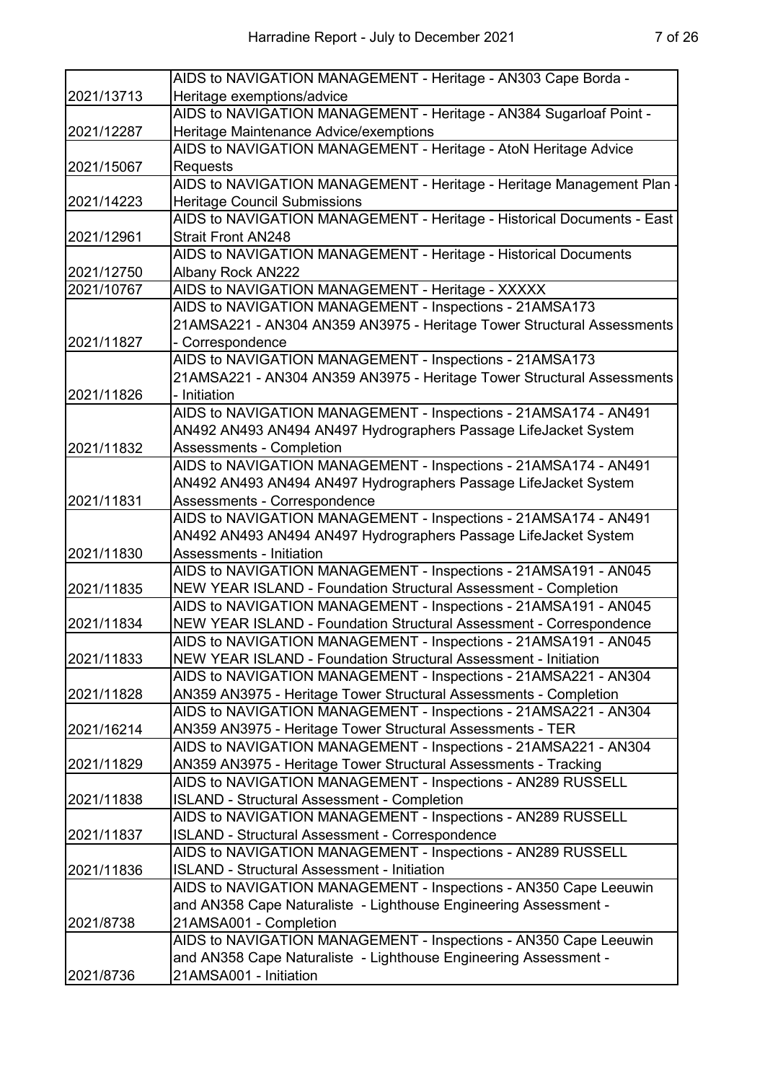|            | AIDS to NAVIGATION MANAGEMENT - Heritage - AN303 Cape Borda -          |
|------------|------------------------------------------------------------------------|
| 2021/13713 | Heritage exemptions/advice                                             |
|            | AIDS to NAVIGATION MANAGEMENT - Heritage - AN384 Sugarloaf Point -     |
| 2021/12287 | Heritage Maintenance Advice/exemptions                                 |
|            | AIDS to NAVIGATION MANAGEMENT - Heritage - AtoN Heritage Advice        |
| 2021/15067 | Requests                                                               |
|            | AIDS to NAVIGATION MANAGEMENT - Heritage - Heritage Management Plan    |
| 2021/14223 | <b>Heritage Council Submissions</b>                                    |
|            | AIDS to NAVIGATION MANAGEMENT - Heritage - Historical Documents - East |
| 2021/12961 | <b>Strait Front AN248</b>                                              |
|            | AIDS to NAVIGATION MANAGEMENT - Heritage - Historical Documents        |
| 2021/12750 | Albany Rock AN222                                                      |
| 2021/10767 | AIDS to NAVIGATION MANAGEMENT - Heritage - XXXXX                       |
|            | AIDS to NAVIGATION MANAGEMENT - Inspections - 21AMSA173                |
|            | 21AMSA221 - AN304 AN359 AN3975 - Heritage Tower Structural Assessments |
| 2021/11827 | - Correspondence                                                       |
|            | AIDS to NAVIGATION MANAGEMENT - Inspections - 21AMSA173                |
|            | 21AMSA221 - AN304 AN359 AN3975 - Heritage Tower Structural Assessments |
| 2021/11826 | - Initiation                                                           |
|            | AIDS to NAVIGATION MANAGEMENT - Inspections - 21AMSA174 - AN491        |
|            | AN492 AN493 AN494 AN497 Hydrographers Passage LifeJacket System        |
| 2021/11832 | <b>Assessments - Completion</b>                                        |
|            | AIDS to NAVIGATION MANAGEMENT - Inspections - 21AMSA174 - AN491        |
|            | AN492 AN493 AN494 AN497 Hydrographers Passage LifeJacket System        |
| 2021/11831 | Assessments - Correspondence                                           |
|            | AIDS to NAVIGATION MANAGEMENT - Inspections - 21AMSA174 - AN491        |
|            | AN492 AN493 AN494 AN497 Hydrographers Passage LifeJacket System        |
| 2021/11830 | Assessments - Initiation                                               |
|            | AIDS to NAVIGATION MANAGEMENT - Inspections - 21AMSA191 - AN045        |
| 2021/11835 | NEW YEAR ISLAND - Foundation Structural Assessment - Completion        |
|            | AIDS to NAVIGATION MANAGEMENT - Inspections - 21AMSA191 - AN045        |
| 2021/11834 | NEW YEAR ISLAND - Foundation Structural Assessment - Correspondence    |
|            | AIDS to NAVIGATION MANAGEMENT - Inspections - 21AMSA191 - AN045        |
| 2021/11833 | <b>NEW YEAR ISLAND - Foundation Structural Assessment - Initiation</b> |
|            | AIDS to NAVIGATION MANAGEMENT - Inspections - 21AMSA221 - AN304        |
| 2021/11828 | AN359 AN3975 - Heritage Tower Structural Assessments - Completion      |
|            | AIDS to NAVIGATION MANAGEMENT - Inspections - 21AMSA221 - AN304        |
| 2021/16214 | AN359 AN3975 - Heritage Tower Structural Assessments - TER             |
|            | AIDS to NAVIGATION MANAGEMENT - Inspections - 21AMSA221 - AN304        |
| 2021/11829 | AN359 AN3975 - Heritage Tower Structural Assessments - Tracking        |
|            | AIDS to NAVIGATION MANAGEMENT - Inspections - AN289 RUSSELL            |
| 2021/11838 | <b>ISLAND - Structural Assessment - Completion</b>                     |
|            | AIDS to NAVIGATION MANAGEMENT - Inspections - AN289 RUSSELL            |
| 2021/11837 | ISLAND - Structural Assessment - Correspondence                        |
|            | AIDS to NAVIGATION MANAGEMENT - Inspections - AN289 RUSSELL            |
| 2021/11836 | <b>ISLAND - Structural Assessment - Initiation</b>                     |
|            | AIDS to NAVIGATION MANAGEMENT - Inspections - AN350 Cape Leeuwin       |
|            | and AN358 Cape Naturaliste - Lighthouse Engineering Assessment -       |
| 2021/8738  | 21AMSA001 - Completion                                                 |
|            | AIDS to NAVIGATION MANAGEMENT - Inspections - AN350 Cape Leeuwin       |
|            | and AN358 Cape Naturaliste - Lighthouse Engineering Assessment -       |
| 2021/8736  | 21AMSA001 - Initiation                                                 |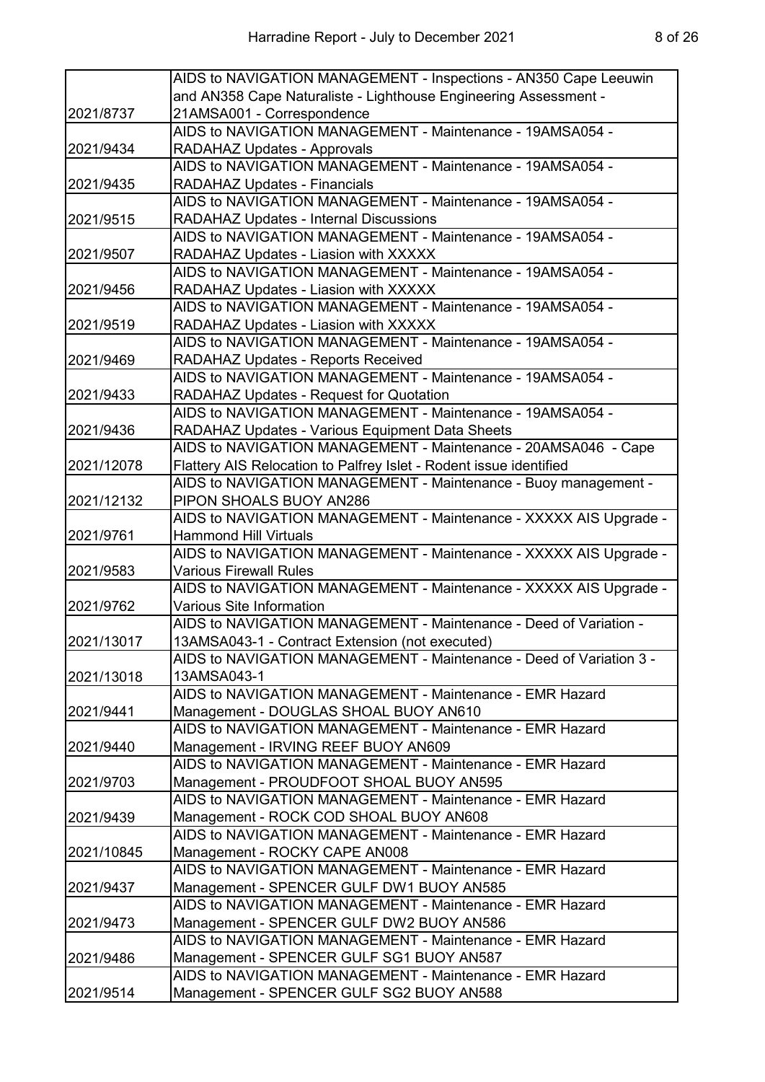|            | AIDS to NAVIGATION MANAGEMENT - Inspections - AN350 Cape Leeuwin    |
|------------|---------------------------------------------------------------------|
|            | and AN358 Cape Naturaliste - Lighthouse Engineering Assessment -    |
| 2021/8737  | 21AMSA001 - Correspondence                                          |
|            | AIDS to NAVIGATION MANAGEMENT - Maintenance - 19AMSA054 -           |
| 2021/9434  | <b>RADAHAZ Updates - Approvals</b>                                  |
|            | AIDS to NAVIGATION MANAGEMENT - Maintenance - 19AMSA054 -           |
| 2021/9435  | RADAHAZ Updates - Financials                                        |
|            | AIDS to NAVIGATION MANAGEMENT - Maintenance - 19AMSA054 -           |
| 2021/9515  | <b>RADAHAZ Updates - Internal Discussions</b>                       |
|            | AIDS to NAVIGATION MANAGEMENT - Maintenance - 19AMSA054 -           |
| 2021/9507  | RADAHAZ Updates - Liasion with XXXXX                                |
|            | AIDS to NAVIGATION MANAGEMENT - Maintenance - 19AMSA054 -           |
| 2021/9456  | RADAHAZ Updates - Liasion with XXXXX                                |
|            | AIDS to NAVIGATION MANAGEMENT - Maintenance - 19AMSA054 -           |
| 2021/9519  | RADAHAZ Updates - Liasion with XXXXX                                |
|            | AIDS to NAVIGATION MANAGEMENT - Maintenance - 19AMSA054 -           |
| 2021/9469  | RADAHAZ Updates - Reports Received                                  |
|            | AIDS to NAVIGATION MANAGEMENT - Maintenance - 19AMSA054 -           |
| 2021/9433  | <b>RADAHAZ Updates - Request for Quotation</b>                      |
|            | AIDS to NAVIGATION MANAGEMENT - Maintenance - 19AMSA054 -           |
| 2021/9436  | RADAHAZ Updates - Various Equipment Data Sheets                     |
|            | AIDS to NAVIGATION MANAGEMENT - Maintenance - 20AMSA046 - Cape      |
| 2021/12078 | Flattery AIS Relocation to Palfrey Islet - Rodent issue identified  |
|            | AIDS to NAVIGATION MANAGEMENT - Maintenance - Buoy management -     |
| 2021/12132 | PIPON SHOALS BUOY AN286                                             |
|            | AIDS to NAVIGATION MANAGEMENT - Maintenance - XXXXX AIS Upgrade -   |
| 2021/9761  | <b>Hammond Hill Virtuals</b>                                        |
|            | AIDS to NAVIGATION MANAGEMENT - Maintenance - XXXXX AIS Upgrade -   |
| 2021/9583  | <b>Various Firewall Rules</b>                                       |
|            | AIDS to NAVIGATION MANAGEMENT - Maintenance - XXXXX AIS Upgrade -   |
| 2021/9762  | Various Site Information                                            |
|            | AIDS to NAVIGATION MANAGEMENT - Maintenance - Deed of Variation -   |
| 2021/13017 | 13AMSA043-1 - Contract Extension (not executed)                     |
|            | AIDS to NAVIGATION MANAGEMENT - Maintenance - Deed of Variation 3 - |
| 2021/13018 | 13AMSA043-1                                                         |
|            | AIDS to NAVIGATION MANAGEMENT - Maintenance - EMR Hazard            |
| 2021/9441  | Management - DOUGLAS SHOAL BUOY AN610                               |
|            | AIDS to NAVIGATION MANAGEMENT - Maintenance - EMR Hazard            |
| 2021/9440  | Management - IRVING REEF BUOY AN609                                 |
|            | AIDS to NAVIGATION MANAGEMENT - Maintenance - EMR Hazard            |
| 2021/9703  | Management - PROUDFOOT SHOAL BUOY AN595                             |
|            | AIDS to NAVIGATION MANAGEMENT - Maintenance - EMR Hazard            |
| 2021/9439  | Management - ROCK COD SHOAL BUOY AN608                              |
|            | AIDS to NAVIGATION MANAGEMENT - Maintenance - EMR Hazard            |
| 2021/10845 | Management - ROCKY CAPE AN008                                       |
|            | AIDS to NAVIGATION MANAGEMENT - Maintenance - EMR Hazard            |
| 2021/9437  | Management - SPENCER GULF DW1 BUOY AN585                            |
|            | AIDS to NAVIGATION MANAGEMENT - Maintenance - EMR Hazard            |
| 2021/9473  | Management - SPENCER GULF DW2 BUOY AN586                            |
|            | AIDS to NAVIGATION MANAGEMENT - Maintenance - EMR Hazard            |
| 2021/9486  | Management - SPENCER GULF SG1 BUOY AN587                            |
|            | AIDS to NAVIGATION MANAGEMENT - Maintenance - EMR Hazard            |
| 2021/9514  | Management - SPENCER GULF SG2 BUOY AN588                            |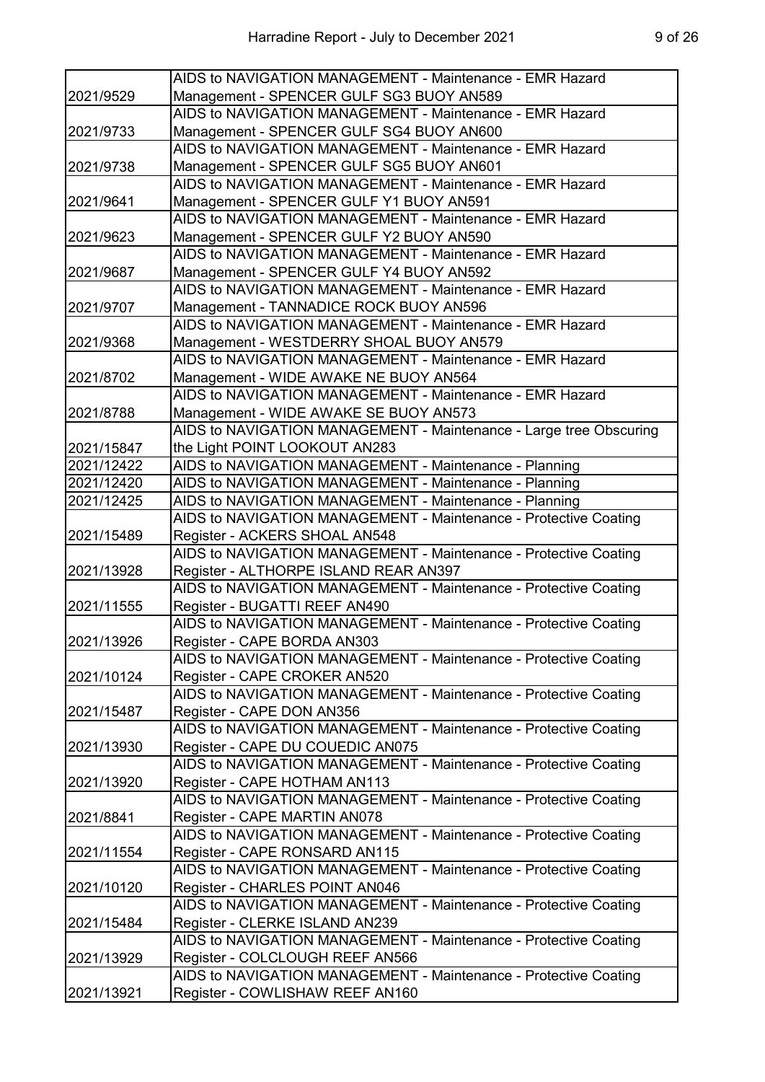|            | AIDS to NAVIGATION MANAGEMENT - Maintenance - EMR Hazard           |
|------------|--------------------------------------------------------------------|
| 2021/9529  | Management - SPENCER GULF SG3 BUOY AN589                           |
|            | AIDS to NAVIGATION MANAGEMENT - Maintenance - EMR Hazard           |
| 2021/9733  | Management - SPENCER GULF SG4 BUOY AN600                           |
|            | AIDS to NAVIGATION MANAGEMENT - Maintenance - EMR Hazard           |
| 2021/9738  | Management - SPENCER GULF SG5 BUOY AN601                           |
|            | AIDS to NAVIGATION MANAGEMENT - Maintenance - EMR Hazard           |
| 2021/9641  | Management - SPENCER GULF Y1 BUOY AN591                            |
|            | AIDS to NAVIGATION MANAGEMENT - Maintenance - EMR Hazard           |
| 2021/9623  | Management - SPENCER GULF Y2 BUOY AN590                            |
|            | AIDS to NAVIGATION MANAGEMENT - Maintenance - EMR Hazard           |
| 2021/9687  | Management - SPENCER GULF Y4 BUOY AN592                            |
|            | AIDS to NAVIGATION MANAGEMENT - Maintenance - EMR Hazard           |
| 2021/9707  | Management - TANNADICE ROCK BUOY AN596                             |
|            | AIDS to NAVIGATION MANAGEMENT - Maintenance - EMR Hazard           |
| 2021/9368  | Management - WESTDERRY SHOAL BUOY AN579                            |
|            | AIDS to NAVIGATION MANAGEMENT - Maintenance - EMR Hazard           |
| 2021/8702  | Management - WIDE AWAKE NE BUOY AN564                              |
|            | AIDS to NAVIGATION MANAGEMENT - Maintenance - EMR Hazard           |
|            |                                                                    |
| 2021/8788  | Management - WIDE AWAKE SE BUOY AN573                              |
|            | AIDS to NAVIGATION MANAGEMENT - Maintenance - Large tree Obscuring |
| 2021/15847 | the Light POINT LOOKOUT AN283                                      |
| 2021/12422 | AIDS to NAVIGATION MANAGEMENT - Maintenance - Planning             |
| 2021/12420 | AIDS to NAVIGATION MANAGEMENT - Maintenance - Planning             |
| 2021/12425 | AIDS to NAVIGATION MANAGEMENT - Maintenance - Planning             |
|            | AIDS to NAVIGATION MANAGEMENT - Maintenance - Protective Coating   |
| 2021/15489 | Register - ACKERS SHOAL AN548                                      |
|            | AIDS to NAVIGATION MANAGEMENT - Maintenance - Protective Coating   |
| 2021/13928 | Register - ALTHORPE ISLAND REAR AN397                              |
|            | AIDS to NAVIGATION MANAGEMENT - Maintenance - Protective Coating   |
| 2021/11555 | Register - BUGATTI REEF AN490                                      |
|            | AIDS to NAVIGATION MANAGEMENT - Maintenance - Protective Coating   |
| 2021/13926 | Register - CAPE BORDA AN303                                        |
|            | AIDS to NAVIGATION MANAGEMENT - Maintenance - Protective Coating   |
| 2021/10124 | Register - CAPE CROKER AN520                                       |
|            | AIDS to NAVIGATION MANAGEMENT - Maintenance - Protective Coating   |
| 2021/15487 | Register - CAPE DON AN356                                          |
|            | AIDS to NAVIGATION MANAGEMENT - Maintenance - Protective Coating   |
| 2021/13930 | Register - CAPE DU COUEDIC AN075                                   |
|            | AIDS to NAVIGATION MANAGEMENT - Maintenance - Protective Coating   |
| 2021/13920 | Register - CAPE HOTHAM AN113                                       |
|            | AIDS to NAVIGATION MANAGEMENT - Maintenance - Protective Coating   |
| 2021/8841  | Register - CAPE MARTIN AN078                                       |
|            | AIDS to NAVIGATION MANAGEMENT - Maintenance - Protective Coating   |
| 2021/11554 | Register - CAPE RONSARD AN115                                      |
|            | AIDS to NAVIGATION MANAGEMENT - Maintenance - Protective Coating   |
| 2021/10120 | Register - CHARLES POINT AN046                                     |
|            | AIDS to NAVIGATION MANAGEMENT - Maintenance - Protective Coating   |
| 2021/15484 | Register - CLERKE ISLAND AN239                                     |
|            | AIDS to NAVIGATION MANAGEMENT - Maintenance - Protective Coating   |
| 2021/13929 | Register - COLCLOUGH REEF AN566                                    |
|            | AIDS to NAVIGATION MANAGEMENT - Maintenance - Protective Coating   |
| 2021/13921 | Register - COWLISHAW REEF AN160                                    |
|            |                                                                    |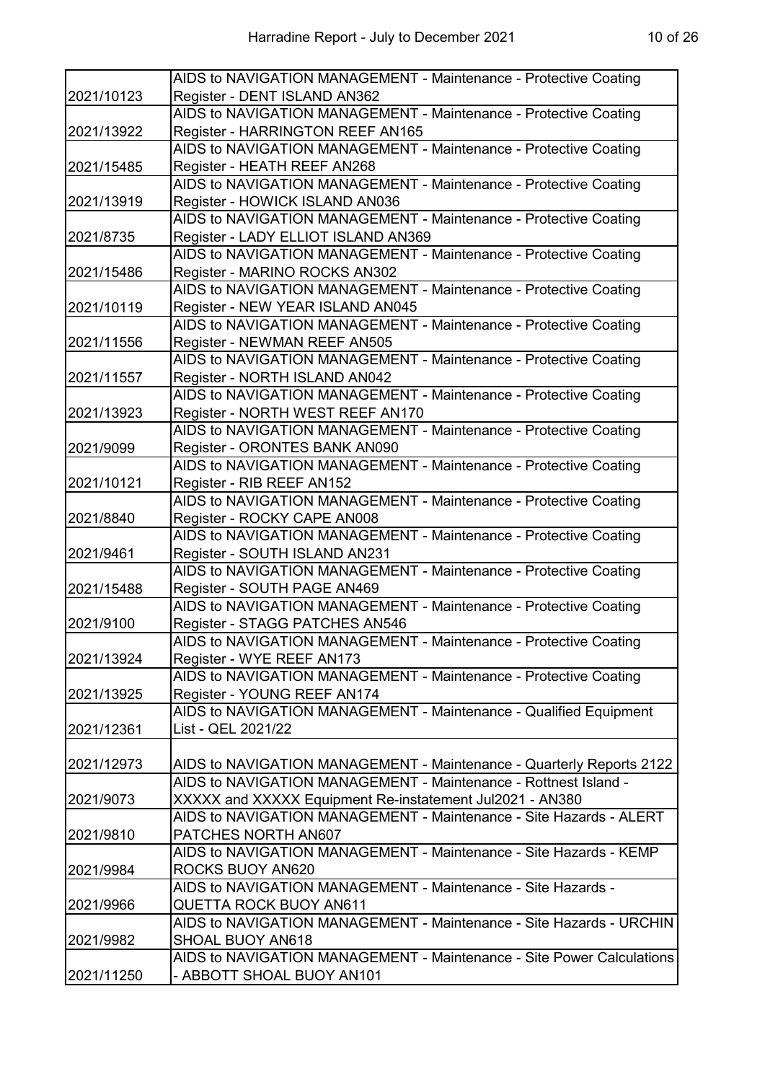|            | AIDS to NAVIGATION MANAGEMENT - Maintenance - Protective Coating      |
|------------|-----------------------------------------------------------------------|
| 2021/10123 | Register - DENT ISLAND AN362                                          |
|            | AIDS to NAVIGATION MANAGEMENT - Maintenance - Protective Coating      |
| 2021/13922 | Register - HARRINGTON REEF AN165                                      |
|            | AIDS to NAVIGATION MANAGEMENT - Maintenance - Protective Coating      |
| 2021/15485 | Register - HEATH REEF AN268                                           |
|            | AIDS to NAVIGATION MANAGEMENT - Maintenance - Protective Coating      |
| 2021/13919 | Register - HOWICK ISLAND AN036                                        |
|            | AIDS to NAVIGATION MANAGEMENT - Maintenance - Protective Coating      |
| 2021/8735  | Register - LADY ELLIOT ISLAND AN369                                   |
|            | AIDS to NAVIGATION MANAGEMENT - Maintenance - Protective Coating      |
| 2021/15486 | Register - MARINO ROCKS AN302                                         |
|            | AIDS to NAVIGATION MANAGEMENT - Maintenance - Protective Coating      |
| 2021/10119 | Register - NEW YEAR ISLAND AN045                                      |
|            | AIDS to NAVIGATION MANAGEMENT - Maintenance - Protective Coating      |
| 2021/11556 | Register - NEWMAN REEF AN505                                          |
|            | AIDS to NAVIGATION MANAGEMENT - Maintenance - Protective Coating      |
| 2021/11557 | Register - NORTH ISLAND AN042                                         |
|            | AIDS to NAVIGATION MANAGEMENT - Maintenance - Protective Coating      |
| 2021/13923 | Register - NORTH WEST REEF AN170                                      |
|            | AIDS to NAVIGATION MANAGEMENT - Maintenance - Protective Coating      |
| 2021/9099  | Register - ORONTES BANK AN090                                         |
|            | AIDS to NAVIGATION MANAGEMENT - Maintenance - Protective Coating      |
| 2021/10121 | Register - RIB REEF AN152                                             |
|            | AIDS to NAVIGATION MANAGEMENT - Maintenance - Protective Coating      |
| 2021/8840  | Register - ROCKY CAPE AN008                                           |
|            | AIDS to NAVIGATION MANAGEMENT - Maintenance - Protective Coating      |
| 2021/9461  | Register - SOUTH ISLAND AN231                                         |
|            | AIDS to NAVIGATION MANAGEMENT - Maintenance - Protective Coating      |
| 2021/15488 | Register - SOUTH PAGE AN469                                           |
|            | AIDS to NAVIGATION MANAGEMENT - Maintenance - Protective Coating      |
| 2021/9100  | Register - STAGG PATCHES AN546                                        |
|            | AIDS to NAVIGATION MANAGEMENT - Maintenance - Protective Coating      |
| 2021/13924 | Register - WYE REEF AN173                                             |
|            | AIDS to NAVIGATION MANAGEMENT - Maintenance - Protective Coating      |
| 2021/13925 | Register - YOUNG REEF AN174                                           |
|            | AIDS to NAVIGATION MANAGEMENT - Maintenance - Qualified Equipment     |
| 2021/12361 | List - QEL 2021/22                                                    |
|            |                                                                       |
| 2021/12973 | AIDS to NAVIGATION MANAGEMENT - Maintenance - Quarterly Reports 2122  |
|            | AIDS to NAVIGATION MANAGEMENT - Maintenance - Rottnest Island -       |
| 2021/9073  | XXXXX and XXXXX Equipment Re-instatement Jul2021 - AN380              |
|            | AIDS to NAVIGATION MANAGEMENT - Maintenance - Site Hazards - ALERT    |
| 2021/9810  | PATCHES NORTH AN607                                                   |
|            | AIDS to NAVIGATION MANAGEMENT - Maintenance - Site Hazards - KEMP     |
| 2021/9984  | ROCKS BUOY AN620                                                      |
|            | AIDS to NAVIGATION MANAGEMENT - Maintenance - Site Hazards -          |
| 2021/9966  | QUETTA ROCK BUOY AN611                                                |
|            | AIDS to NAVIGATION MANAGEMENT - Maintenance - Site Hazards - URCHIN   |
| 2021/9982  | SHOAL BUOY AN618                                                      |
|            | AIDS to NAVIGATION MANAGEMENT - Maintenance - Site Power Calculations |
| 2021/11250 | - ABBOTT SHOAL BUOY AN101                                             |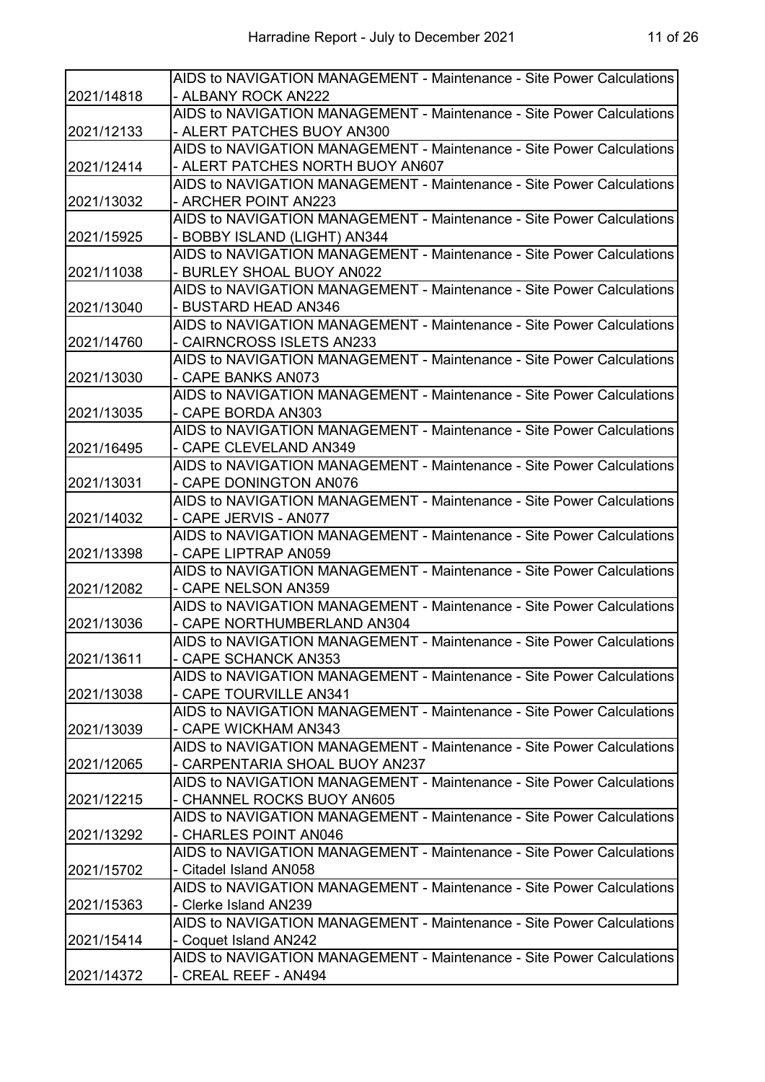|            | AIDS to NAVIGATION MANAGEMENT - Maintenance - Site Power Calculations |
|------------|-----------------------------------------------------------------------|
| 2021/14818 | - ALBANY ROCK AN222                                                   |
|            | AIDS to NAVIGATION MANAGEMENT - Maintenance - Site Power Calculations |
| 2021/12133 | - ALERT PATCHES BUOY AN300                                            |
|            | AIDS to NAVIGATION MANAGEMENT - Maintenance - Site Power Calculations |
| 2021/12414 | - ALERT PATCHES NORTH BUOY AN607                                      |
|            | AIDS to NAVIGATION MANAGEMENT - Maintenance - Site Power Calculations |
| 2021/13032 | - ARCHER POINT AN223                                                  |
|            | AIDS to NAVIGATION MANAGEMENT - Maintenance - Site Power Calculations |
| 2021/15925 | - BOBBY ISLAND (LIGHT) AN344                                          |
|            | AIDS to NAVIGATION MANAGEMENT - Maintenance - Site Power Calculations |
| 2021/11038 | - BURLEY SHOAL BUOY AN022                                             |
|            | AIDS to NAVIGATION MANAGEMENT - Maintenance - Site Power Calculations |
| 2021/13040 | - BUSTARD HEAD AN346                                                  |
|            | AIDS to NAVIGATION MANAGEMENT - Maintenance - Site Power Calculations |
| 2021/14760 | - CAIRNCROSS ISLETS AN233                                             |
|            | AIDS to NAVIGATION MANAGEMENT - Maintenance - Site Power Calculations |
| 2021/13030 | - CAPE BANKS AN073                                                    |
|            | AIDS to NAVIGATION MANAGEMENT - Maintenance - Site Power Calculations |
| 2021/13035 | - CAPE BORDA AN303                                                    |
|            | AIDS to NAVIGATION MANAGEMENT - Maintenance - Site Power Calculations |
| 2021/16495 | - CAPE CLEVELAND AN349                                                |
|            | AIDS to NAVIGATION MANAGEMENT - Maintenance - Site Power Calculations |
| 2021/13031 | - CAPE DONINGTON AN076                                                |
|            | AIDS to NAVIGATION MANAGEMENT - Maintenance - Site Power Calculations |
| 2021/14032 | - CAPE JERVIS - AN077                                                 |
|            | AIDS to NAVIGATION MANAGEMENT - Maintenance - Site Power Calculations |
| 2021/13398 | - CAPE LIPTRAP AN059                                                  |
|            | AIDS to NAVIGATION MANAGEMENT - Maintenance - Site Power Calculations |
| 2021/12082 | - CAPE NELSON AN359                                                   |
|            | AIDS to NAVIGATION MANAGEMENT - Maintenance - Site Power Calculations |
| 2021/13036 | - CAPE NORTHUMBERLAND AN304                                           |
|            | AIDS to NAVIGATION MANAGEMENT - Maintenance - Site Power Calculations |
| 2021/13611 | - CAPE SCHANCK AN353                                                  |
|            | AIDS to NAVIGATION MANAGEMENT - Maintenance - Site Power Calculations |
| 2021/13038 | - CAPE TOURVILLE AN341                                                |
|            | AIDS to NAVIGATION MANAGEMENT - Maintenance - Site Power Calculations |
| 2021/13039 | - CAPE WICKHAM AN343                                                  |
|            | AIDS to NAVIGATION MANAGEMENT - Maintenance - Site Power Calculations |
| 2021/12065 | - CARPENTARIA SHOAL BUOY AN237                                        |
|            | AIDS to NAVIGATION MANAGEMENT - Maintenance - Site Power Calculations |
| 2021/12215 | - CHANNEL ROCKS BUOY AN605                                            |
|            | AIDS to NAVIGATION MANAGEMENT - Maintenance - Site Power Calculations |
| 2021/13292 | - CHARLES POINT AN046                                                 |
|            | AIDS to NAVIGATION MANAGEMENT - Maintenance - Site Power Calculations |
| 2021/15702 | - Citadel Island AN058                                                |
|            | AIDS to NAVIGATION MANAGEMENT - Maintenance - Site Power Calculations |
| 2021/15363 | - Clerke Island AN239                                                 |
|            | AIDS to NAVIGATION MANAGEMENT - Maintenance - Site Power Calculations |
| 2021/15414 | - Coquet Island AN242                                                 |
|            | AIDS to NAVIGATION MANAGEMENT - Maintenance - Site Power Calculations |
| 2021/14372 | - CREAL REEF - AN494                                                  |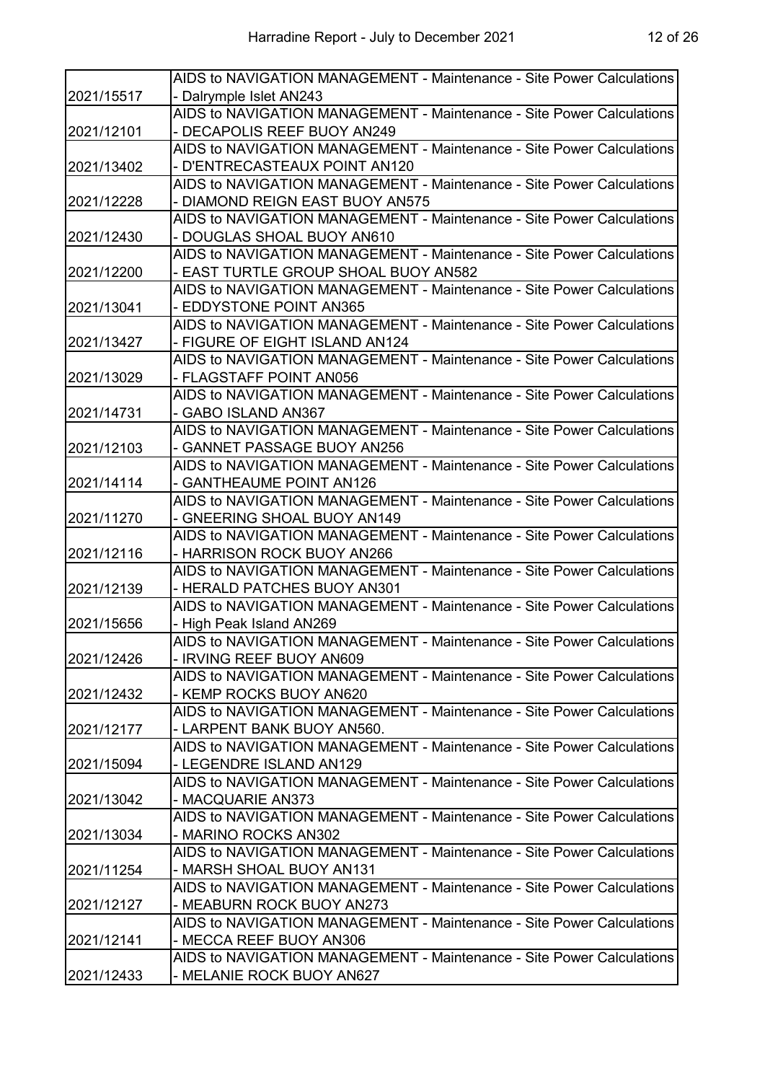|            | AIDS to NAVIGATION MANAGEMENT - Maintenance - Site Power Calculations |
|------------|-----------------------------------------------------------------------|
| 2021/15517 | - Dalrymple Islet AN243                                               |
|            | AIDS to NAVIGATION MANAGEMENT - Maintenance - Site Power Calculations |
| 2021/12101 | - DECAPOLIS REEF BUOY AN249                                           |
|            | AIDS to NAVIGATION MANAGEMENT - Maintenance - Site Power Calculations |
| 2021/13402 | - D'ENTRECASTEAUX POINT AN120                                         |
|            | AIDS to NAVIGATION MANAGEMENT - Maintenance - Site Power Calculations |
| 2021/12228 | - DIAMOND REIGN EAST BUOY AN575                                       |
|            | AIDS to NAVIGATION MANAGEMENT - Maintenance - Site Power Calculations |
| 2021/12430 | - DOUGLAS SHOAL BUOY AN610                                            |
|            | AIDS to NAVIGATION MANAGEMENT - Maintenance - Site Power Calculations |
| 2021/12200 | - EAST TURTLE GROUP SHOAL BUOY AN582                                  |
|            | AIDS to NAVIGATION MANAGEMENT - Maintenance - Site Power Calculations |
| 2021/13041 | - EDDYSTONE POINT AN365                                               |
|            | AIDS to NAVIGATION MANAGEMENT - Maintenance - Site Power Calculations |
| 2021/13427 | - FIGURE OF EIGHT ISLAND AN124                                        |
|            | AIDS to NAVIGATION MANAGEMENT - Maintenance - Site Power Calculations |
| 2021/13029 | - FLAGSTAFF POINT AN056                                               |
|            | AIDS to NAVIGATION MANAGEMENT - Maintenance - Site Power Calculations |
| 2021/14731 | - GABO ISLAND AN367                                                   |
|            | AIDS to NAVIGATION MANAGEMENT - Maintenance - Site Power Calculations |
| 2021/12103 | - GANNET PASSAGE BUOY AN256                                           |
|            | AIDS to NAVIGATION MANAGEMENT - Maintenance - Site Power Calculations |
| 2021/14114 | - GANTHEAUME POINT AN126                                              |
|            | AIDS to NAVIGATION MANAGEMENT - Maintenance - Site Power Calculations |
| 2021/11270 | - GNEERING SHOAL BUOY AN149                                           |
|            | AIDS to NAVIGATION MANAGEMENT - Maintenance - Site Power Calculations |
| 2021/12116 | - HARRISON ROCK BUOY AN266                                            |
|            | AIDS to NAVIGATION MANAGEMENT - Maintenance - Site Power Calculations |
| 2021/12139 | - HERALD PATCHES BUOY AN301                                           |
|            | AIDS to NAVIGATION MANAGEMENT - Maintenance - Site Power Calculations |
| 2021/15656 | - High Peak Island AN269                                              |
|            | AIDS to NAVIGATION MANAGEMENT - Maintenance - Site Power Calculations |
| 2021/12426 | - IRVING REEF BUOY AN609                                              |
|            | AIDS to NAVIGATION MANAGEMENT - Maintenance - Site Power Calculations |
| 2021/12432 | - KEMP ROCKS BUOY AN620                                               |
|            | AIDS to NAVIGATION MANAGEMENT - Maintenance - Site Power Calculations |
| 2021/12177 | - LARPENT BANK BUOY AN560.                                            |
|            | AIDS to NAVIGATION MANAGEMENT - Maintenance - Site Power Calculations |
| 2021/15094 | - LEGENDRE ISLAND AN129                                               |
|            | AIDS to NAVIGATION MANAGEMENT - Maintenance - Site Power Calculations |
| 2021/13042 | - MACQUARIE AN373                                                     |
|            | AIDS to NAVIGATION MANAGEMENT - Maintenance - Site Power Calculations |
| 2021/13034 | - MARINO ROCKS AN302                                                  |
|            | AIDS to NAVIGATION MANAGEMENT - Maintenance - Site Power Calculations |
| 2021/11254 | - MARSH SHOAL BUOY AN131                                              |
|            | AIDS to NAVIGATION MANAGEMENT - Maintenance - Site Power Calculations |
| 2021/12127 | - MEABURN ROCK BUOY AN273                                             |
|            | AIDS to NAVIGATION MANAGEMENT - Maintenance - Site Power Calculations |
| 2021/12141 | - MECCA REEF BUOY AN306                                               |
|            | AIDS to NAVIGATION MANAGEMENT - Maintenance - Site Power Calculations |
| 2021/12433 | - MELANIE ROCK BUOY AN627                                             |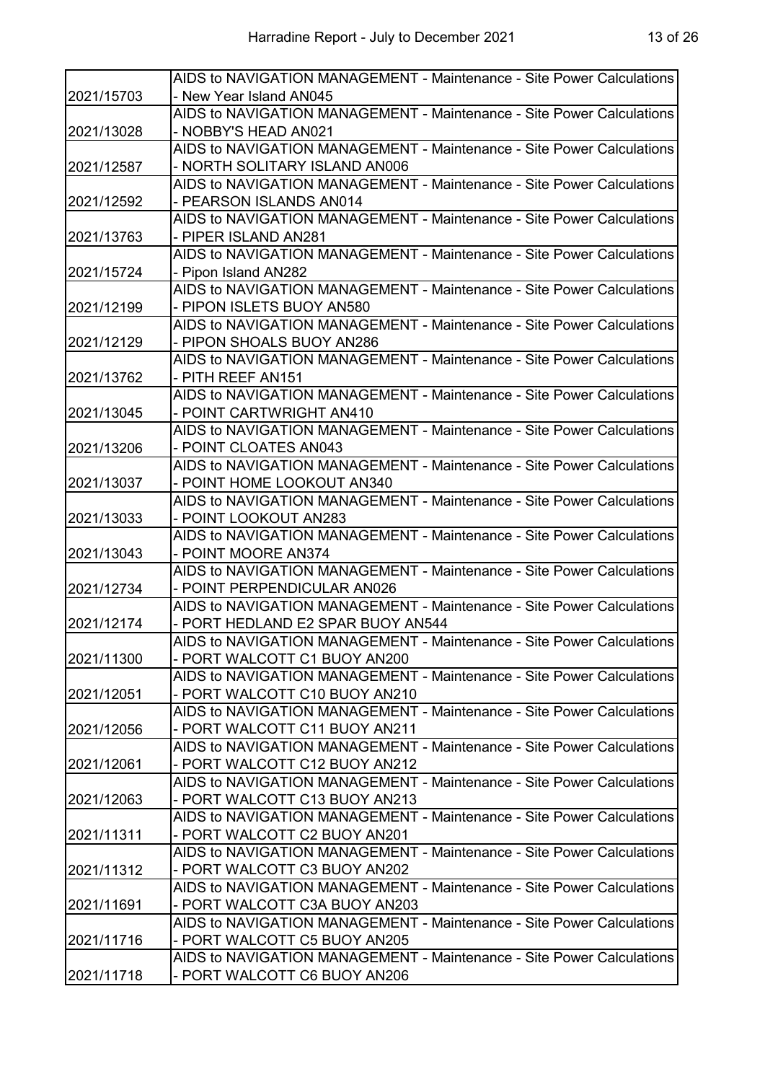|            | AIDS to NAVIGATION MANAGEMENT - Maintenance - Site Power Calculations |
|------------|-----------------------------------------------------------------------|
| 2021/15703 | - New Year Island AN045                                               |
|            | AIDS to NAVIGATION MANAGEMENT - Maintenance - Site Power Calculations |
| 2021/13028 | - NOBBY'S HEAD AN021                                                  |
|            | AIDS to NAVIGATION MANAGEMENT - Maintenance - Site Power Calculations |
| 2021/12587 | - NORTH SOLITARY ISLAND AN006                                         |
|            | AIDS to NAVIGATION MANAGEMENT - Maintenance - Site Power Calculations |
| 2021/12592 | - PEARSON ISLANDS AN014                                               |
|            | AIDS to NAVIGATION MANAGEMENT - Maintenance - Site Power Calculations |
| 2021/13763 | - PIPER ISLAND AN281                                                  |
|            | AIDS to NAVIGATION MANAGEMENT - Maintenance - Site Power Calculations |
| 2021/15724 | - Pipon Island AN282                                                  |
|            | AIDS to NAVIGATION MANAGEMENT - Maintenance - Site Power Calculations |
| 2021/12199 | - PIPON ISLETS BUOY AN580                                             |
|            | AIDS to NAVIGATION MANAGEMENT - Maintenance - Site Power Calculations |
| 2021/12129 | - PIPON SHOALS BUOY AN286                                             |
|            | AIDS to NAVIGATION MANAGEMENT - Maintenance - Site Power Calculations |
| 2021/13762 | - PITH REEF AN151                                                     |
|            | AIDS to NAVIGATION MANAGEMENT - Maintenance - Site Power Calculations |
| 2021/13045 | - POINT CARTWRIGHT AN410                                              |
|            | AIDS to NAVIGATION MANAGEMENT - Maintenance - Site Power Calculations |
| 2021/13206 | - POINT CLOATES AN043                                                 |
|            | AIDS to NAVIGATION MANAGEMENT - Maintenance - Site Power Calculations |
| 2021/13037 | - POINT HOME LOOKOUT AN340                                            |
|            | AIDS to NAVIGATION MANAGEMENT - Maintenance - Site Power Calculations |
| 2021/13033 | - POINT LOOKOUT AN283                                                 |
|            | AIDS to NAVIGATION MANAGEMENT - Maintenance - Site Power Calculations |
| 2021/13043 | - POINT MOORE AN374                                                   |
|            | AIDS to NAVIGATION MANAGEMENT - Maintenance - Site Power Calculations |
| 2021/12734 | - POINT PERPENDICULAR AN026                                           |
|            | AIDS to NAVIGATION MANAGEMENT - Maintenance - Site Power Calculations |
| 2021/12174 | - PORT HEDLAND E2 SPAR BUOY AN544                                     |
|            | AIDS to NAVIGATION MANAGEMENT - Maintenance - Site Power Calculations |
| 2021/11300 | - PORT WALCOTT C1 BUOY AN200                                          |
|            | AIDS to NAVIGATION MANAGEMENT - Maintenance - Site Power Calculations |
| 2021/12051 | - PORT WALCOTT C10 BUOY AN210                                         |
|            | AIDS to NAVIGATION MANAGEMENT - Maintenance - Site Power Calculations |
| 2021/12056 | - PORT WALCOTT C11 BUOY AN211                                         |
|            | AIDS to NAVIGATION MANAGEMENT - Maintenance - Site Power Calculations |
| 2021/12061 | - PORT WALCOTT C12 BUOY AN212                                         |
|            | AIDS to NAVIGATION MANAGEMENT - Maintenance - Site Power Calculations |
| 2021/12063 | - PORT WALCOTT C13 BUOY AN213                                         |
|            | AIDS to NAVIGATION MANAGEMENT - Maintenance - Site Power Calculations |
| 2021/11311 | - PORT WALCOTT C2 BUOY AN201                                          |
|            | AIDS to NAVIGATION MANAGEMENT - Maintenance - Site Power Calculations |
| 2021/11312 | - PORT WALCOTT C3 BUOY AN202                                          |
|            | AIDS to NAVIGATION MANAGEMENT - Maintenance - Site Power Calculations |
| 2021/11691 | - PORT WALCOTT C3A BUOY AN203                                         |
|            | AIDS to NAVIGATION MANAGEMENT - Maintenance - Site Power Calculations |
| 2021/11716 | - PORT WALCOTT C5 BUOY AN205                                          |
|            | AIDS to NAVIGATION MANAGEMENT - Maintenance - Site Power Calculations |
| 2021/11718 | - PORT WALCOTT C6 BUOY AN206                                          |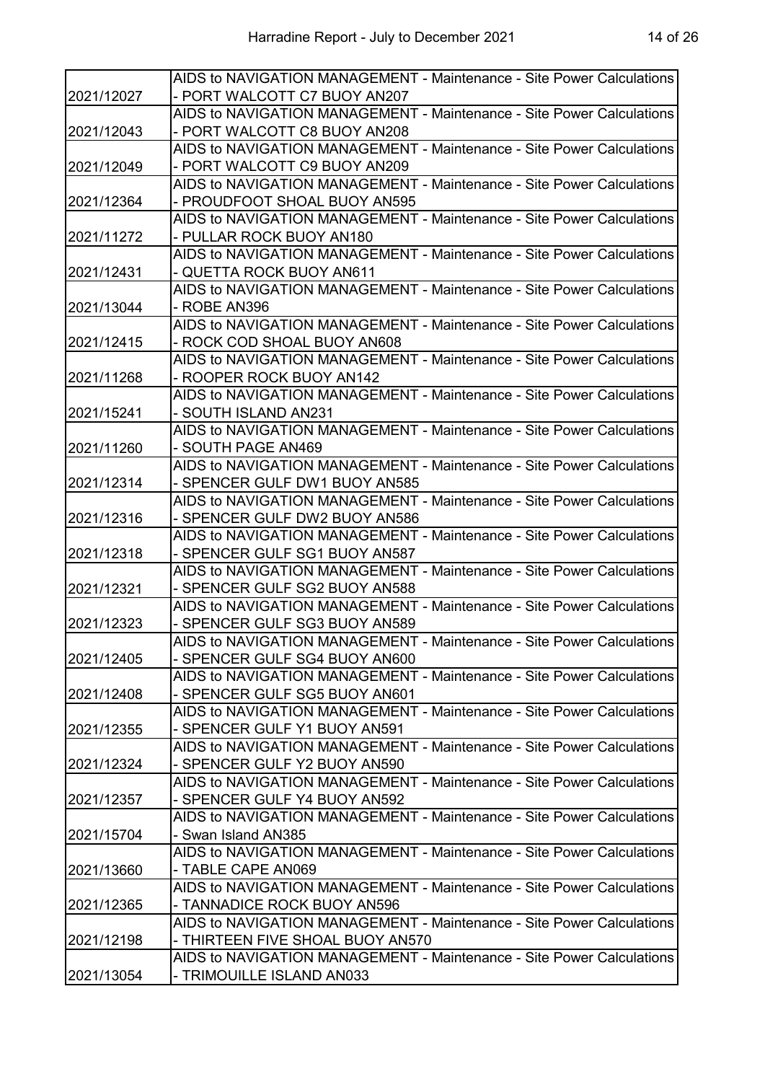|            | AIDS to NAVIGATION MANAGEMENT - Maintenance - Site Power Calculations                                 |
|------------|-------------------------------------------------------------------------------------------------------|
| 2021/12027 | - PORT WALCOTT C7 BUOY AN207                                                                          |
|            | AIDS to NAVIGATION MANAGEMENT - Maintenance - Site Power Calculations                                 |
| 2021/12043 | - PORT WALCOTT C8 BUOY AN208                                                                          |
| 2021/12049 | AIDS to NAVIGATION MANAGEMENT - Maintenance - Site Power Calculations                                 |
|            | - PORT WALCOTT C9 BUOY AN209                                                                          |
|            | AIDS to NAVIGATION MANAGEMENT - Maintenance - Site Power Calculations                                 |
| 2021/12364 | - PROUDFOOT SHOAL BUOY AN595                                                                          |
|            | AIDS to NAVIGATION MANAGEMENT - Maintenance - Site Power Calculations                                 |
| 2021/11272 | - PULLAR ROCK BUOY AN180                                                                              |
|            | AIDS to NAVIGATION MANAGEMENT - Maintenance - Site Power Calculations                                 |
| 2021/12431 | - QUETTA ROCK BUOY AN611                                                                              |
|            | AIDS to NAVIGATION MANAGEMENT - Maintenance - Site Power Calculations                                 |
| 2021/13044 | - ROBE AN396                                                                                          |
|            | AIDS to NAVIGATION MANAGEMENT - Maintenance - Site Power Calculations                                 |
| 2021/12415 | - ROCK COD SHOAL BUOY AN608                                                                           |
|            | AIDS to NAVIGATION MANAGEMENT - Maintenance - Site Power Calculations                                 |
| 2021/11268 | - ROOPER ROCK BUOY AN142                                                                              |
|            | AIDS to NAVIGATION MANAGEMENT - Maintenance - Site Power Calculations                                 |
| 2021/15241 | - SOUTH ISLAND AN231                                                                                  |
|            | AIDS to NAVIGATION MANAGEMENT - Maintenance - Site Power Calculations                                 |
| 2021/11260 | - SOUTH PAGE AN469                                                                                    |
|            | AIDS to NAVIGATION MANAGEMENT - Maintenance - Site Power Calculations                                 |
| 2021/12314 | - SPENCER GULF DW1 BUOY AN585                                                                         |
|            | AIDS to NAVIGATION MANAGEMENT - Maintenance - Site Power Calculations                                 |
| 2021/12316 | - SPENCER GULF DW2 BUOY AN586                                                                         |
|            | AIDS to NAVIGATION MANAGEMENT - Maintenance - Site Power Calculations                                 |
| 2021/12318 | - SPENCER GULF SG1 BUOY AN587                                                                         |
|            | AIDS to NAVIGATION MANAGEMENT - Maintenance - Site Power Calculations                                 |
| 2021/12321 | - SPENCER GULF SG2 BUOY AN588                                                                         |
|            | AIDS to NAVIGATION MANAGEMENT - Maintenance - Site Power Calculations                                 |
| 2021/12323 | - SPENCER GULF SG3 BUOY AN589                                                                         |
|            | AIDS to NAVIGATION MANAGEMENT - Maintenance - Site Power Calculations                                 |
| 2021/12405 | - SPENCER GULF SG4 BUOY AN600                                                                         |
|            | AIDS to NAVIGATION MANAGEMENT - Maintenance - Site Power Calculations                                 |
| 2021/12408 | - SPENCER GULF SG5 BUOY AN601                                                                         |
|            | AIDS to NAVIGATION MANAGEMENT - Maintenance - Site Power Calculations                                 |
| 2021/12355 | - SPENCER GULF Y1 BUOY AN591                                                                          |
|            | AIDS to NAVIGATION MANAGEMENT - Maintenance - Site Power Calculations                                 |
| 2021/12324 | - SPENCER GULF Y2 BUOY AN590                                                                          |
|            | AIDS to NAVIGATION MANAGEMENT - Maintenance - Site Power Calculations                                 |
| 2021/12357 | - SPENCER GULF Y4 BUOY AN592<br>AIDS to NAVIGATION MANAGEMENT - Maintenance - Site Power Calculations |
|            | - Swan Island AN385                                                                                   |
| 2021/15704 | AIDS to NAVIGATION MANAGEMENT - Maintenance - Site Power Calculations                                 |
|            | - TABLE CAPE AN069                                                                                    |
| 2021/13660 | AIDS to NAVIGATION MANAGEMENT - Maintenance - Site Power Calculations                                 |
|            | - TANNADICE ROCK BUOY AN596                                                                           |
| 2021/12365 | AIDS to NAVIGATION MANAGEMENT - Maintenance - Site Power Calculations                                 |
| 2021/12198 | - THIRTEEN FIVE SHOAL BUOY AN570                                                                      |
|            | AIDS to NAVIGATION MANAGEMENT - Maintenance - Site Power Calculations                                 |
| 2021/13054 | - TRIMOUILLE ISLAND AN033                                                                             |
|            |                                                                                                       |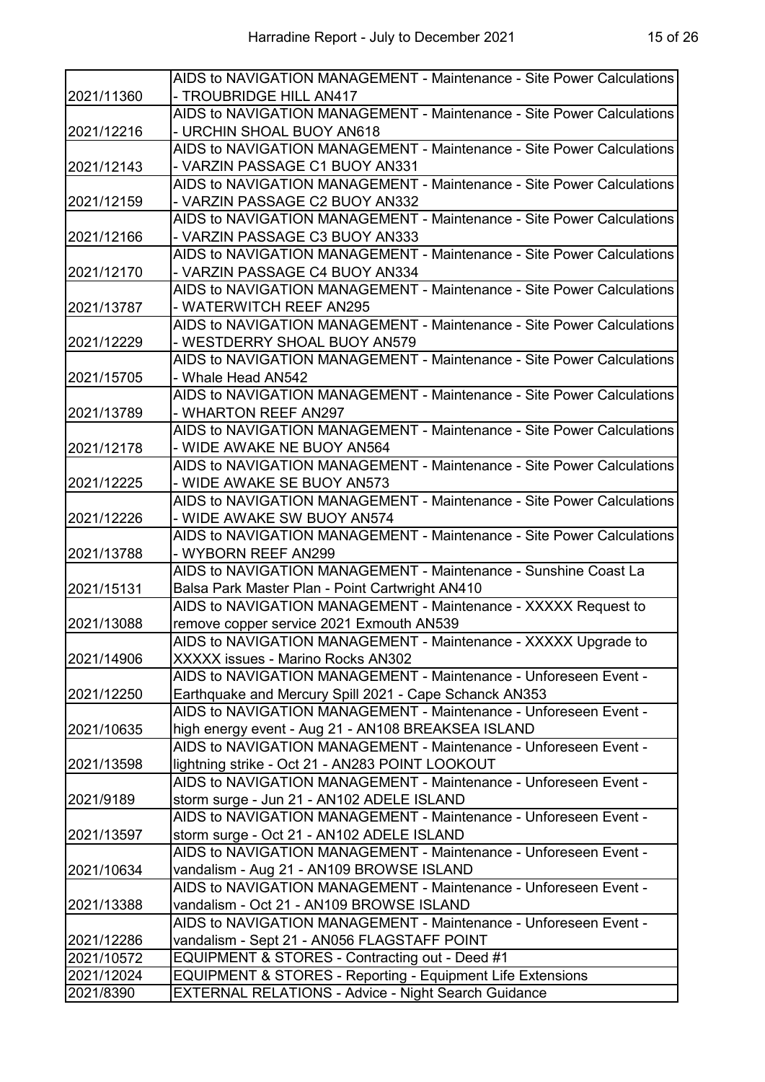|            | AIDS to NAVIGATION MANAGEMENT - Maintenance - Site Power Calculations |
|------------|-----------------------------------------------------------------------|
| 2021/11360 | - TROUBRIDGE HILL AN417                                               |
|            | AIDS to NAVIGATION MANAGEMENT - Maintenance - Site Power Calculations |
| 2021/12216 | - URCHIN SHOAL BUOY AN618                                             |
|            | AIDS to NAVIGATION MANAGEMENT - Maintenance - Site Power Calculations |
| 2021/12143 | - VARZIN PASSAGE C1 BUOY AN331                                        |
|            | AIDS to NAVIGATION MANAGEMENT - Maintenance - Site Power Calculations |
| 2021/12159 | - VARZIN PASSAGE C2 BUOY AN332                                        |
|            | AIDS to NAVIGATION MANAGEMENT - Maintenance - Site Power Calculations |
| 2021/12166 | - VARZIN PASSAGE C3 BUOY AN333                                        |
|            | AIDS to NAVIGATION MANAGEMENT - Maintenance - Site Power Calculations |
| 2021/12170 | - VARZIN PASSAGE C4 BUOY AN334                                        |
|            | AIDS to NAVIGATION MANAGEMENT - Maintenance - Site Power Calculations |
| 2021/13787 | - WATERWITCH REEF AN295                                               |
|            | AIDS to NAVIGATION MANAGEMENT - Maintenance - Site Power Calculations |
| 2021/12229 | - WESTDERRY SHOAL BUOY AN579                                          |
|            | AIDS to NAVIGATION MANAGEMENT - Maintenance - Site Power Calculations |
| 2021/15705 | - Whale Head AN542                                                    |
|            | AIDS to NAVIGATION MANAGEMENT - Maintenance - Site Power Calculations |
| 2021/13789 | - WHARTON REEF AN297                                                  |
|            | AIDS to NAVIGATION MANAGEMENT - Maintenance - Site Power Calculations |
| 2021/12178 | - WIDE AWAKE NE BUOY AN564                                            |
|            | AIDS to NAVIGATION MANAGEMENT - Maintenance - Site Power Calculations |
| 2021/12225 | - WIDE AWAKE SE BUOY AN573                                            |
|            | AIDS to NAVIGATION MANAGEMENT - Maintenance - Site Power Calculations |
| 2021/12226 | - WIDE AWAKE SW BUOY AN574                                            |
|            | AIDS to NAVIGATION MANAGEMENT - Maintenance - Site Power Calculations |
| 2021/13788 | - WYBORN REEF AN299                                                   |
|            | AIDS to NAVIGATION MANAGEMENT - Maintenance - Sunshine Coast La       |
| 2021/15131 | Balsa Park Master Plan - Point Cartwright AN410                       |
|            | AIDS to NAVIGATION MANAGEMENT - Maintenance - XXXXX Request to        |
| 2021/13088 | remove copper service 2021 Exmouth AN539                              |
|            | AIDS to NAVIGATION MANAGEMENT - Maintenance - XXXXX Upgrade to        |
| 2021/14906 | XXXXX issues - Marino Rocks AN302                                     |
|            | AIDS to NAVIGATION MANAGEMENT - Maintenance - Unforeseen Event -      |
| 2021/12250 | Earthquake and Mercury Spill 2021 - Cape Schanck AN353                |
|            | AIDS to NAVIGATION MANAGEMENT - Maintenance - Unforeseen Event -      |
| 2021/10635 | high energy event - Aug 21 - AN108 BREAKSEA ISLAND                    |
|            | AIDS to NAVIGATION MANAGEMENT - Maintenance - Unforeseen Event -      |
| 2021/13598 | lightning strike - Oct 21 - AN283 POINT LOOKOUT                       |
|            | AIDS to NAVIGATION MANAGEMENT - Maintenance - Unforeseen Event -      |
| 2021/9189  | storm surge - Jun 21 - AN102 ADELE ISLAND                             |
|            | AIDS to NAVIGATION MANAGEMENT - Maintenance - Unforeseen Event -      |
| 2021/13597 | storm surge - Oct 21 - AN102 ADELE ISLAND                             |
|            | AIDS to NAVIGATION MANAGEMENT - Maintenance - Unforeseen Event -      |
| 2021/10634 | vandalism - Aug 21 - AN109 BROWSE ISLAND                              |
|            | AIDS to NAVIGATION MANAGEMENT - Maintenance - Unforeseen Event -      |
| 2021/13388 | vandalism - Oct 21 - AN109 BROWSE ISLAND                              |
|            | AIDS to NAVIGATION MANAGEMENT - Maintenance - Unforeseen Event -      |
| 2021/12286 | vandalism - Sept 21 - AN056 FLAGSTAFF POINT                           |
| 2021/10572 | EQUIPMENT & STORES - Contracting out - Deed #1                        |
| 2021/12024 | EQUIPMENT & STORES - Reporting - Equipment Life Extensions            |
| 2021/8390  | <b>EXTERNAL RELATIONS - Advice - Night Search Guidance</b>            |
|            |                                                                       |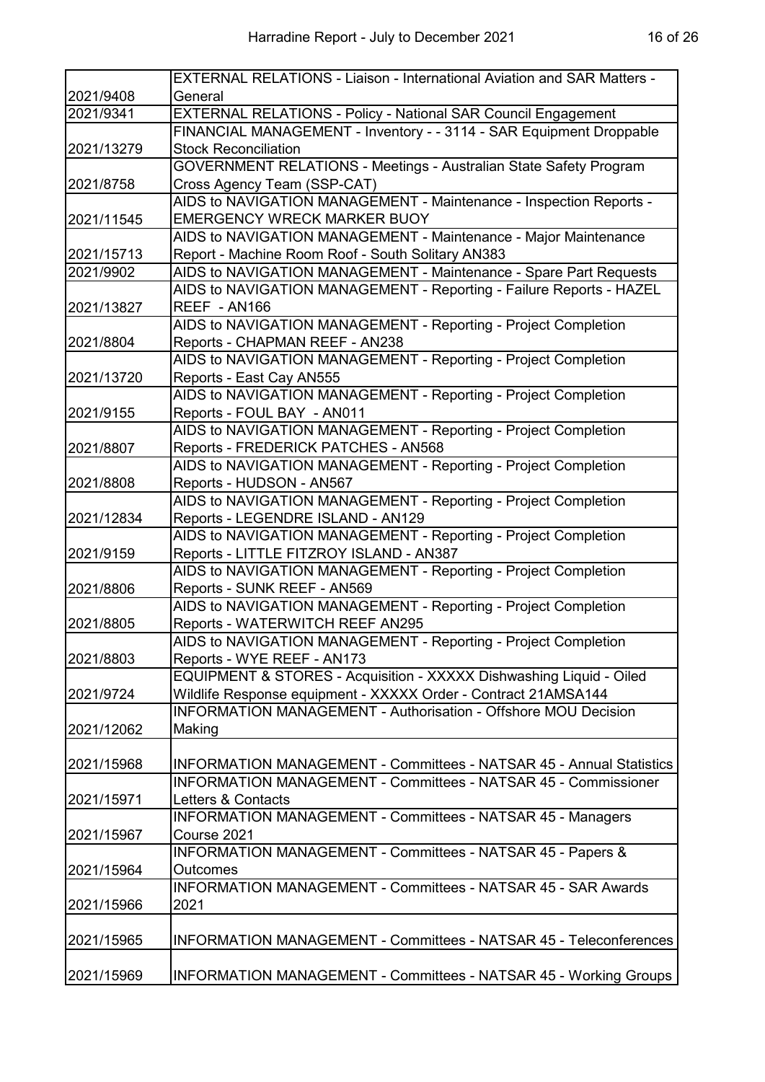|                          | <b>EXTERNAL RELATIONS - Liaison - International Aviation and SAR Matters -</b> |
|--------------------------|--------------------------------------------------------------------------------|
| 2021/9408                | General                                                                        |
| 2021/9341                | EXTERNAL RELATIONS - Policy - National SAR Council Engagement                  |
|                          | FINANCIAL MANAGEMENT - Inventory - - 3114 - SAR Equipment Droppable            |
| 2021/13279               | <b>Stock Reconciliation</b>                                                    |
|                          | <b>GOVERNMENT RELATIONS - Meetings - Australian State Safety Program</b>       |
| 2021/8758                | Cross Agency Team (SSP-CAT)                                                    |
|                          | AIDS to NAVIGATION MANAGEMENT - Maintenance - Inspection Reports -             |
| 2021/11545               | <b>EMERGENCY WRECK MARKER BUOY</b>                                             |
|                          | AIDS to NAVIGATION MANAGEMENT - Maintenance - Major Maintenance                |
| 2021/15713               | Report - Machine Room Roof - South Solitary AN383                              |
| 2021/9902                | AIDS to NAVIGATION MANAGEMENT - Maintenance - Spare Part Requests              |
|                          | AIDS to NAVIGATION MANAGEMENT - Reporting - Failure Reports - HAZEL            |
| 2021/13827               | REEF - AN166                                                                   |
|                          | AIDS to NAVIGATION MANAGEMENT - Reporting - Project Completion                 |
| 2021/8804                | Reports - CHAPMAN REEF - AN238                                                 |
|                          | AIDS to NAVIGATION MANAGEMENT - Reporting - Project Completion                 |
| 2021/13720               | Reports - East Cay AN555                                                       |
|                          | AIDS to NAVIGATION MANAGEMENT - Reporting - Project Completion                 |
| 2021/9155                | Reports - FOUL BAY - AN011                                                     |
|                          | AIDS to NAVIGATION MANAGEMENT - Reporting - Project Completion                 |
| 2021/8807                | Reports - FREDERICK PATCHES - AN568                                            |
|                          | AIDS to NAVIGATION MANAGEMENT - Reporting - Project Completion                 |
| 2021/8808                | Reports - HUDSON - AN567                                                       |
|                          | AIDS to NAVIGATION MANAGEMENT - Reporting - Project Completion                 |
| 2021/12834               | Reports - LEGENDRE ISLAND - AN129                                              |
|                          | AIDS to NAVIGATION MANAGEMENT - Reporting - Project Completion                 |
| 2021/9159                | Reports - LITTLE FITZROY ISLAND - AN387                                        |
|                          | AIDS to NAVIGATION MANAGEMENT - Reporting - Project Completion                 |
| 2021/8806                | Reports - SUNK REEF - AN569                                                    |
|                          | AIDS to NAVIGATION MANAGEMENT - Reporting - Project Completion                 |
| 2021/8805                | Reports - WATERWITCH REEF AN295                                                |
|                          | AIDS to NAVIGATION MANAGEMENT - Reporting - Project Completion                 |
| 2021/8803                | Reports - WYE REEF - AN173                                                     |
|                          | EQUIPMENT & STORES - Acquisition - XXXXX Dishwashing Liquid - Oiled            |
| 2021/9724                | Wildlife Response equipment - XXXXX Order - Contract 21AMSA144                 |
|                          | <b>INFORMATION MANAGEMENT - Authorisation - Offshore MOU Decision</b>          |
| 2021/12062               | Making                                                                         |
|                          |                                                                                |
| 2021/15968               | <b>INFORMATION MANAGEMENT - Committees - NATSAR 45 - Annual Statistics</b>     |
|                          | <b>INFORMATION MANAGEMENT - Committees - NATSAR 45 - Commissioner</b>          |
| 2021/15971               | Letters & Contacts                                                             |
|                          | <b>INFORMATION MANAGEMENT - Committees - NATSAR 45 - Managers</b>              |
| 2021/15967               | Course 2021                                                                    |
|                          | INFORMATION MANAGEMENT - Committees - NATSAR 45 - Papers &                     |
| 2021/15964<br>2021/15966 | Outcomes                                                                       |
|                          | <b>INFORMATION MANAGEMENT - Committees - NATSAR 45 - SAR Awards</b>            |
|                          | 2021                                                                           |
|                          |                                                                                |
| 2021/15965               | <b>INFORMATION MANAGEMENT - Committees - NATSAR 45 - Teleconferences</b>       |
|                          |                                                                                |
|                          |                                                                                |
| 2021/15969               | <b>INFORMATION MANAGEMENT - Committees - NATSAR 45 - Working Groups</b>        |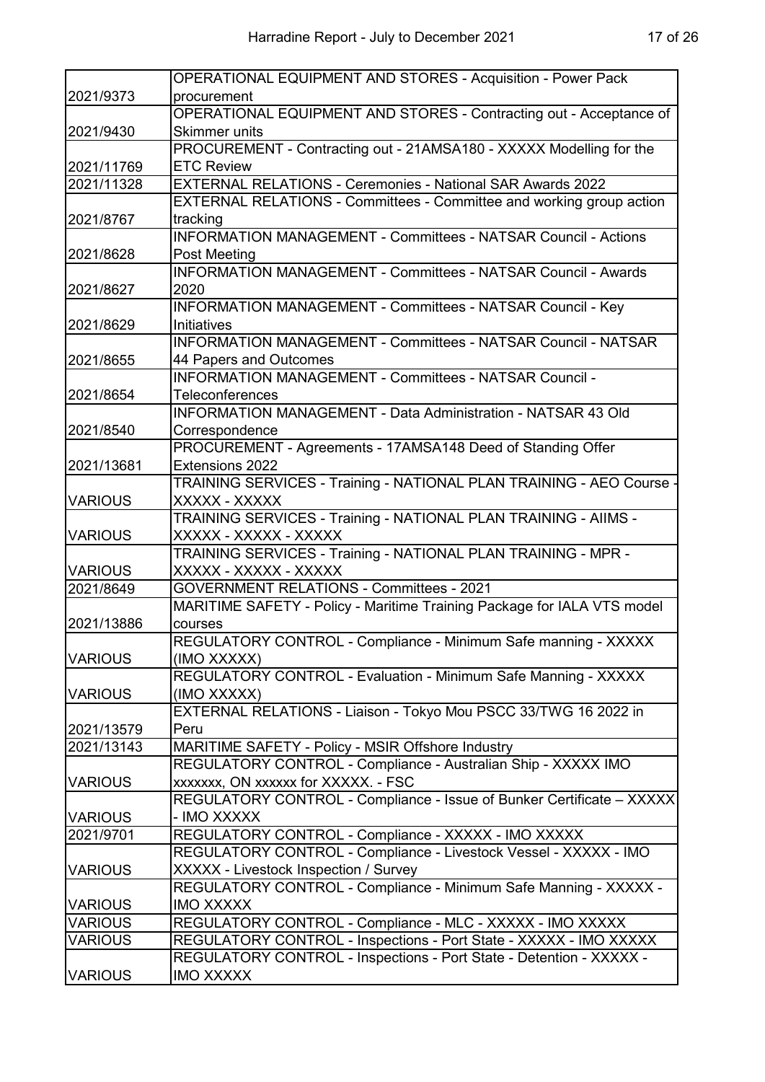|                | <b>OPERATIONAL EQUIPMENT AND STORES - Acquisition - Power Pack</b>            |
|----------------|-------------------------------------------------------------------------------|
| 2021/9373      | procurement                                                                   |
|                | OPERATIONAL EQUIPMENT AND STORES - Contracting out - Acceptance of            |
| 2021/9430      | <b>Skimmer units</b>                                                          |
|                | PROCUREMENT - Contracting out - 21AMSA180 - XXXXX Modelling for the           |
| 2021/11769     | <b>ETC Review</b>                                                             |
| 2021/11328     | <b>EXTERNAL RELATIONS - Ceremonies - National SAR Awards 2022</b>             |
|                | EXTERNAL RELATIONS - Committees - Committee and working group action          |
| 2021/8767      | tracking                                                                      |
|                | <b>INFORMATION MANAGEMENT - Committees - NATSAR Council - Actions</b>         |
| 2021/8628      | Post Meeting                                                                  |
|                | <b>INFORMATION MANAGEMENT - Committees - NATSAR Council - Awards</b>          |
| 2021/8627      | 2020                                                                          |
|                | INFORMATION MANAGEMENT - Committees - NATSAR Council - Key                    |
| 2021/8629      | Initiatives                                                                   |
|                | <b>INFORMATION MANAGEMENT - Committees - NATSAR Council - NATSAR</b>          |
| 2021/8655      | 44 Papers and Outcomes                                                        |
|                | <b>INFORMATION MANAGEMENT - Committees - NATSAR Council -</b>                 |
| 2021/8654      | <b>Teleconferences</b>                                                        |
|                | <b>INFORMATION MANAGEMENT - Data Administration - NATSAR 43 Old</b>           |
| 2021/8540      | Correspondence                                                                |
|                | PROCUREMENT - Agreements - 17AMSA148 Deed of Standing Offer                   |
| 2021/13681     | Extensions 2022                                                               |
|                | TRAINING SERVICES - Training - NATIONAL PLAN TRAINING - AEO Course -          |
| <b>VARIOUS</b> | XXXXX - XXXXX                                                                 |
|                | TRAINING SERVICES - Training - NATIONAL PLAN TRAINING - AIIMS -               |
| <b>VARIOUS</b> | XXXXX - XXXXX - XXXXX                                                         |
|                | TRAINING SERVICES - Training - NATIONAL PLAN TRAINING - MPR -                 |
| <b>VARIOUS</b> | XXXXX - XXXXX - XXXXX                                                         |
| 2021/8649      | <b>GOVERNMENT RELATIONS - Committees - 2021</b>                               |
| 2021/13886     | MARITIME SAFETY - Policy - Maritime Training Package for IALA VTS model       |
|                | courses                                                                       |
| <b>VARIOUS</b> | REGULATORY CONTROL - Compliance - Minimum Safe manning - XXXXX<br>(IMO XXXXX) |
|                | REGULATORY CONTROL - Evaluation - Minimum Safe Manning - XXXXX                |
| <b>VARIOUS</b> | (IMO XXXXX)                                                                   |
|                | EXTERNAL RELATIONS - Liaison - Tokyo Mou PSCC 33/TWG 16 2022 in               |
| 2021/13579     | Peru                                                                          |
| 2021/13143     | MARITIME SAFETY - Policy - MSIR Offshore Industry                             |
|                | REGULATORY CONTROL - Compliance - Australian Ship - XXXXX IMO                 |
| <b>VARIOUS</b> | xxxxxxx, ON xxxxxx for XXXXX. - FSC                                           |
|                | REGULATORY CONTROL - Compliance - Issue of Bunker Certificate - XXXXX         |
| <b>VARIOUS</b> | - IMO XXXXX                                                                   |
| 2021/9701      | REGULATORY CONTROL - Compliance - XXXXX - IMO XXXXX                           |
|                | REGULATORY CONTROL - Compliance - Livestock Vessel - XXXXX - IMO              |
| <b>VARIOUS</b> | XXXXX - Livestock Inspection / Survey                                         |
|                | REGULATORY CONTROL - Compliance - Minimum Safe Manning - XXXXX -              |
| <b>VARIOUS</b> | <b>IMO XXXXX</b>                                                              |
| <b>VARIOUS</b> | REGULATORY CONTROL - Compliance - MLC - XXXXX - IMO XXXXX                     |
| <b>VARIOUS</b> | REGULATORY CONTROL - Inspections - Port State - XXXXX - IMO XXXXX             |
|                | REGULATORY CONTROL - Inspections - Port State - Detention - XXXXX -           |
| <b>VARIOUS</b> | <b>IMO XXXXX</b>                                                              |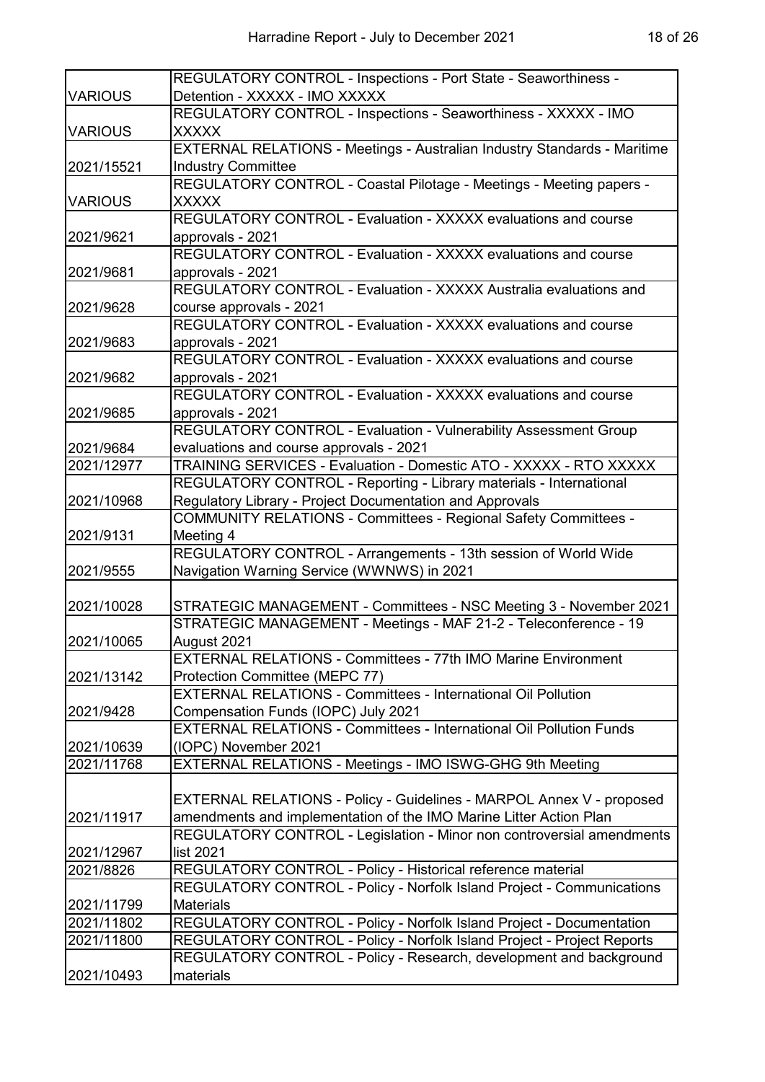|                | REGULATORY CONTROL - Inspections - Port State - Seaworthiness -                 |
|----------------|---------------------------------------------------------------------------------|
| <b>VARIOUS</b> | Detention - XXXXX - IMO XXXXX                                                   |
|                | REGULATORY CONTROL - Inspections - Seaworthiness - XXXXX - IMO                  |
| <b>VARIOUS</b> | <b>XXXXX</b>                                                                    |
|                | <b>EXTERNAL RELATIONS - Meetings - Australian Industry Standards - Maritime</b> |
| 2021/15521     | <b>Industry Committee</b>                                                       |
|                | REGULATORY CONTROL - Coastal Pilotage - Meetings - Meeting papers -             |
| <b>VARIOUS</b> | <b>XXXXX</b>                                                                    |
|                | REGULATORY CONTROL - Evaluation - XXXXX evaluations and course                  |
| 2021/9621      | approvals - 2021                                                                |
|                | REGULATORY CONTROL - Evaluation - XXXXX evaluations and course                  |
| 2021/9681      | approvals - 2021                                                                |
|                | REGULATORY CONTROL - Evaluation - XXXXX Australia evaluations and               |
| 2021/9628      | course approvals - 2021                                                         |
|                | REGULATORY CONTROL - Evaluation - XXXXX evaluations and course                  |
| 2021/9683      | approvals - 2021                                                                |
|                | REGULATORY CONTROL - Evaluation - XXXXX evaluations and course                  |
| 2021/9682      | approvals - 2021                                                                |
|                | REGULATORY CONTROL - Evaluation - XXXXX evaluations and course                  |
| 2021/9685      | approvals - 2021                                                                |
|                | REGULATORY CONTROL - Evaluation - Vulnerability Assessment Group                |
| 2021/9684      | evaluations and course approvals - 2021                                         |
| 2021/12977     | TRAINING SERVICES - Evaluation - Domestic ATO - XXXXX - RTO XXXXX               |
|                | REGULATORY CONTROL - Reporting - Library materials - International              |
| 2021/10968     | Regulatory Library - Project Documentation and Approvals                        |
|                | <b>COMMUNITY RELATIONS - Committees - Regional Safety Committees -</b>          |
| 2021/9131      | Meeting 4                                                                       |
|                | REGULATORY CONTROL - Arrangements - 13th session of World Wide                  |
| 2021/9555      | Navigation Warning Service (WWNWS) in 2021                                      |
|                |                                                                                 |
| 2021/10028     | STRATEGIC MANAGEMENT - Committees - NSC Meeting 3 - November 2021               |
|                | STRATEGIC MANAGEMENT - Meetings - MAF 21-2 - Teleconference - 19                |
| 2021/10065     | August 2021                                                                     |
|                | <b>EXTERNAL RELATIONS - Committees - 77th IMO Marine Environment</b>            |
| 2021/13142     | Protection Committee (MEPC 77)                                                  |
|                | <b>EXTERNAL RELATIONS - Committees - International Oil Pollution</b>            |
| 2021/9428      | Compensation Funds (IOPC) July 2021                                             |
|                | <b>EXTERNAL RELATIONS - Committees - International Oil Pollution Funds</b>      |
| 2021/10639     | (IOPC) November 2021                                                            |
| 2021/11768     | EXTERNAL RELATIONS - Meetings - IMO ISWG-GHG 9th Meeting                        |
|                |                                                                                 |
|                | EXTERNAL RELATIONS - Policy - Guidelines - MARPOL Annex V - proposed            |
| 2021/11917     | amendments and implementation of the IMO Marine Litter Action Plan              |
|                | REGULATORY CONTROL - Legislation - Minor non controversial amendments           |
| 2021/12967     | list 2021                                                                       |
| 2021/8826      | REGULATORY CONTROL - Policy - Historical reference material                     |
|                | REGULATORY CONTROL - Policy - Norfolk Island Project - Communications           |
| 2021/11799     | <b>Materials</b>                                                                |
| 2021/11802     | REGULATORY CONTROL - Policy - Norfolk Island Project - Documentation            |
| 2021/11800     | REGULATORY CONTROL - Policy - Norfolk Island Project - Project Reports          |
|                | REGULATORY CONTROL - Policy - Research, development and background              |
| 2021/10493     | materials                                                                       |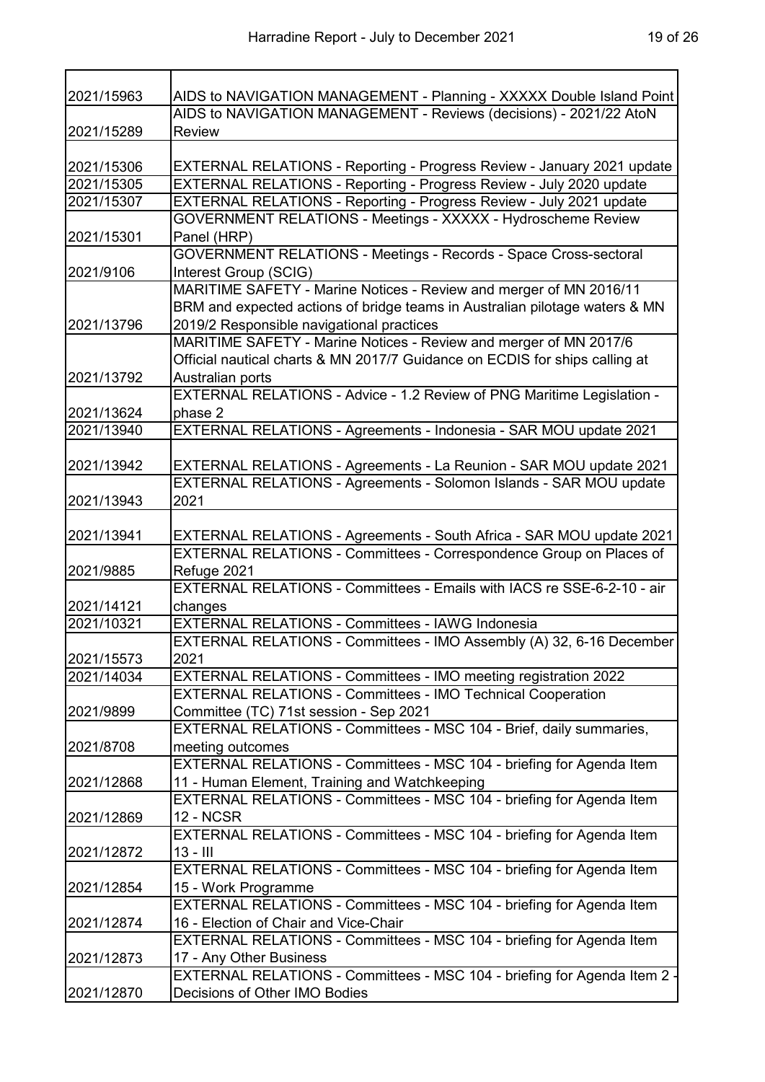т

| 9      | 6' |
|--------|----|
| - of ∽ | ∕  |

| 2021/15963 | AIDS to NAVIGATION MANAGEMENT - Planning - XXXXX Double Island Point                                                  |
|------------|-----------------------------------------------------------------------------------------------------------------------|
|            | AIDS to NAVIGATION MANAGEMENT - Reviews (decisions) - 2021/22 AtoN                                                    |
| 2021/15289 | <b>Review</b>                                                                                                         |
|            |                                                                                                                       |
| 2021/15306 | EXTERNAL RELATIONS - Reporting - Progress Review - January 2021 update                                                |
| 2021/15305 | EXTERNAL RELATIONS - Reporting - Progress Review - July 2020 update                                                   |
| 2021/15307 | EXTERNAL RELATIONS - Reporting - Progress Review - July 2021 update                                                   |
|            | GOVERNMENT RELATIONS - Meetings - XXXXX - Hydroscheme Review                                                          |
| 2021/15301 | Panel (HRP)                                                                                                           |
|            | <b>GOVERNMENT RELATIONS - Meetings - Records - Space Cross-sectoral</b>                                               |
| 2021/9106  | Interest Group (SCIG)                                                                                                 |
|            | MARITIME SAFETY - Marine Notices - Review and merger of MN 2016/11                                                    |
|            | BRM and expected actions of bridge teams in Australian pilotage waters & MN                                           |
| 2021/13796 | 2019/2 Responsible navigational practices                                                                             |
|            | MARITIME SAFETY - Marine Notices - Review and merger of MN 2017/6                                                     |
|            | Official nautical charts & MN 2017/7 Guidance on ECDIS for ships calling at                                           |
| 2021/13792 | Australian ports                                                                                                      |
|            | EXTERNAL RELATIONS - Advice - 1.2 Review of PNG Maritime Legislation -                                                |
| 2021/13624 | phase 2                                                                                                               |
| 2021/13940 | EXTERNAL RELATIONS - Agreements - Indonesia - SAR MOU update 2021                                                     |
|            |                                                                                                                       |
| 2021/13942 | EXTERNAL RELATIONS - Agreements - La Reunion - SAR MOU update 2021                                                    |
|            | EXTERNAL RELATIONS - Agreements - Solomon Islands - SAR MOU update                                                    |
| 2021/13943 | 2021                                                                                                                  |
|            |                                                                                                                       |
| 2021/13941 | EXTERNAL RELATIONS - Agreements - South Africa - SAR MOU update 2021                                                  |
|            | EXTERNAL RELATIONS - Committees - Correspondence Group on Places of                                                   |
| 2021/9885  | Refuge 2021                                                                                                           |
|            | EXTERNAL RELATIONS - Committees - Emails with IACS re SSE-6-2-10 - air                                                |
| 2021/14121 | changes                                                                                                               |
| 2021/10321 | EXTERNAL RELATIONS - Committees - IAWG Indonesia                                                                      |
|            | EXTERNAL RELATIONS - Committees - IMO Assembly (A) 32, 6-16 December                                                  |
| 2021/15573 | 2021                                                                                                                  |
| 2021/14034 | EXTERNAL RELATIONS - Committees - IMO meeting registration 2022                                                       |
|            | <b>EXTERNAL RELATIONS - Committees - IMO Technical Cooperation</b>                                                    |
| 2021/9899  | Committee (TC) 71st session - Sep 2021                                                                                |
|            | EXTERNAL RELATIONS - Committees - MSC 104 - Brief, daily summaries,                                                   |
|            |                                                                                                                       |
| 2021/8708  | meeting outcomes<br>EXTERNAL RELATIONS - Committees - MSC 104 - briefing for Agenda Item                              |
| 2021/12868 |                                                                                                                       |
|            | 11 - Human Element, Training and Watchkeeping<br>EXTERNAL RELATIONS - Committees - MSC 104 - briefing for Agenda Item |
|            |                                                                                                                       |
| 2021/12869 | <b>12 - NCSR</b>                                                                                                      |
|            | EXTERNAL RELATIONS - Committees - MSC 104 - briefing for Agenda Item                                                  |
| 2021/12872 | $13 - III$                                                                                                            |
|            | EXTERNAL RELATIONS - Committees - MSC 104 - briefing for Agenda Item                                                  |
| 2021/12854 | 15 - Work Programme                                                                                                   |
|            | EXTERNAL RELATIONS - Committees - MSC 104 - briefing for Agenda Item                                                  |
| 2021/12874 | 16 - Election of Chair and Vice-Chair                                                                                 |
|            | EXTERNAL RELATIONS - Committees - MSC 104 - briefing for Agenda Item                                                  |
| 2021/12873 | 17 - Any Other Business                                                                                               |
|            | EXTERNAL RELATIONS - Committees - MSC 104 - briefing for Agenda Item 2 -                                              |
| 2021/12870 | Decisions of Other IMO Bodies                                                                                         |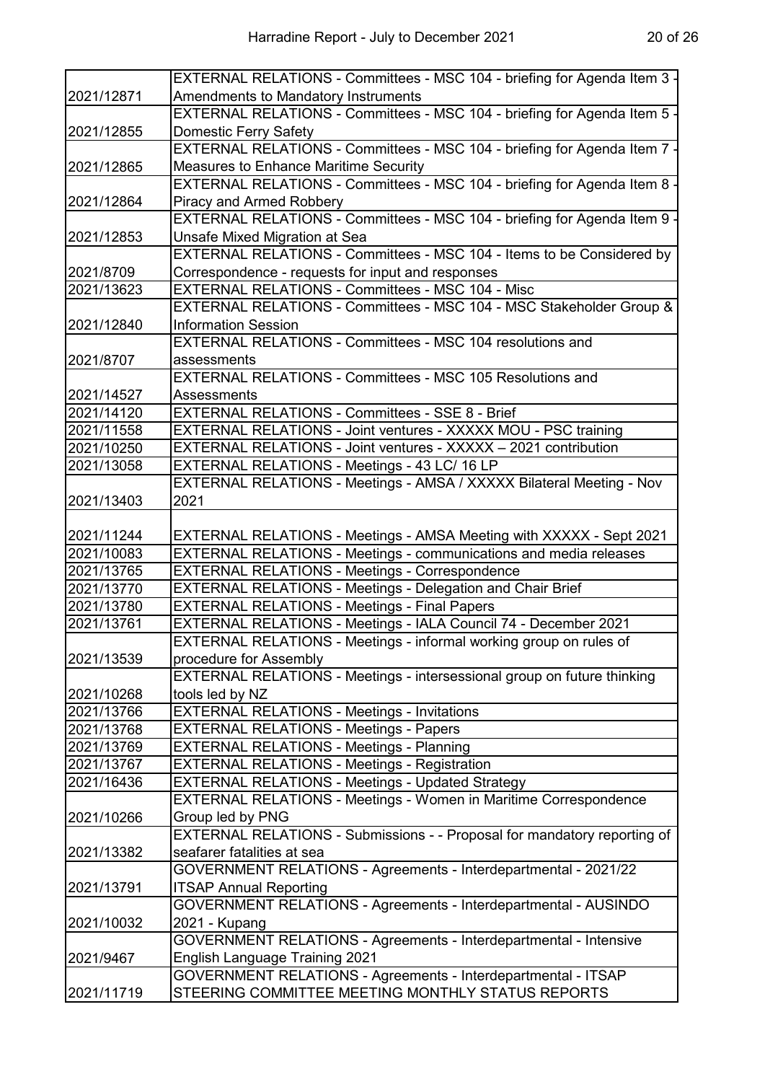|            | EXTERNAL RELATIONS - Committees - MSC 104 - briefing for Agenda Item 3 - |
|------------|--------------------------------------------------------------------------|
| 2021/12871 | <b>Amendments to Mandatory Instruments</b>                               |
|            | EXTERNAL RELATIONS - Committees - MSC 104 - briefing for Agenda Item 5 - |
| 2021/12855 | Domestic Ferry Safety                                                    |
|            | EXTERNAL RELATIONS - Committees - MSC 104 - briefing for Agenda Item 7 - |
| 2021/12865 | Measures to Enhance Maritime Security                                    |
|            | EXTERNAL RELATIONS - Committees - MSC 104 - briefing for Agenda Item 8 - |
| 2021/12864 | Piracy and Armed Robbery                                                 |
|            | EXTERNAL RELATIONS - Committees - MSC 104 - briefing for Agenda Item 9 - |
| 2021/12853 | Unsafe Mixed Migration at Sea                                            |
|            | EXTERNAL RELATIONS - Committees - MSC 104 - Items to be Considered by    |
| 2021/8709  | Correspondence - requests for input and responses                        |
| 2021/13623 | <b>EXTERNAL RELATIONS - Committees - MSC 104 - Misc</b>                  |
|            | EXTERNAL RELATIONS - Committees - MSC 104 - MSC Stakeholder Group &      |
|            | <b>Information Session</b>                                               |
| 2021/12840 |                                                                          |
|            | EXTERNAL RELATIONS - Committees - MSC 104 resolutions and                |
| 2021/8707  | assessments                                                              |
|            | <b>EXTERNAL RELATIONS - Committees - MSC 105 Resolutions and</b>         |
| 2021/14527 | Assessments                                                              |
| 2021/14120 | <b>EXTERNAL RELATIONS - Committees - SSE 8 - Brief</b>                   |
| 2021/11558 | EXTERNAL RELATIONS - Joint ventures - XXXXX MOU - PSC training           |
| 2021/10250 | EXTERNAL RELATIONS - Joint ventures - XXXXX - 2021 contribution          |
| 2021/13058 | EXTERNAL RELATIONS - Meetings - 43 LC/ 16 LP                             |
|            | EXTERNAL RELATIONS - Meetings - AMSA / XXXXX Bilateral Meeting - Nov     |
| 2021/13403 | 2021                                                                     |
|            |                                                                          |
| 2021/11244 | EXTERNAL RELATIONS - Meetings - AMSA Meeting with XXXXX - Sept 2021      |
| 2021/10083 | EXTERNAL RELATIONS - Meetings - communications and media releases        |
| 2021/13765 | <b>EXTERNAL RELATIONS - Meetings - Correspondence</b>                    |
| 2021/13770 | EXTERNAL RELATIONS - Meetings - Delegation and Chair Brief               |
| 2021/13780 | <b>EXTERNAL RELATIONS - Meetings - Final Papers</b>                      |
| 2021/13761 | EXTERNAL RELATIONS - Meetings - IALA Council 74 - December 2021          |
|            | EXTERNAL RELATIONS - Meetings - informal working group on rules of       |
| 2021/13539 | procedure for Assembly                                                   |
|            | EXTERNAL RELATIONS - Meetings - intersessional group on future thinking  |
| 2021/10268 | tools led by NZ                                                          |
| 2021/13766 | <b>EXTERNAL RELATIONS - Meetings - Invitations</b>                       |
| 2021/13768 | <b>EXTERNAL RELATIONS - Meetings - Papers</b>                            |
| 2021/13769 | <b>EXTERNAL RELATIONS - Meetings - Planning</b>                          |
| 2021/13767 | <b>EXTERNAL RELATIONS - Meetings - Registration</b>                      |
| 2021/16436 | EXTERNAL RELATIONS - Meetings - Updated Strategy                         |
|            | EXTERNAL RELATIONS - Meetings - Women in Maritime Correspondence         |
| 2021/10266 | Group led by PNG                                                         |
|            | EXTERNAL RELATIONS - Submissions - - Proposal for mandatory reporting of |
| 2021/13382 | seafarer fatalities at sea                                               |
|            | GOVERNMENT RELATIONS - Agreements - Interdepartmental - 2021/22          |
|            |                                                                          |
| 2021/13791 | <b>ITSAP Annual Reporting</b>                                            |
|            | GOVERNMENT RELATIONS - Agreements - Interdepartmental - AUSINDO          |
| 2021/10032 | 2021 - Kupang                                                            |
|            | GOVERNMENT RELATIONS - Agreements - Interdepartmental - Intensive        |
| 2021/9467  | <b>English Language Training 2021</b>                                    |
|            | GOVERNMENT RELATIONS - Agreements - Interdepartmental - ITSAP            |
| 2021/11719 | STEERING COMMITTEE MEETING MONTHLY STATUS REPORTS                        |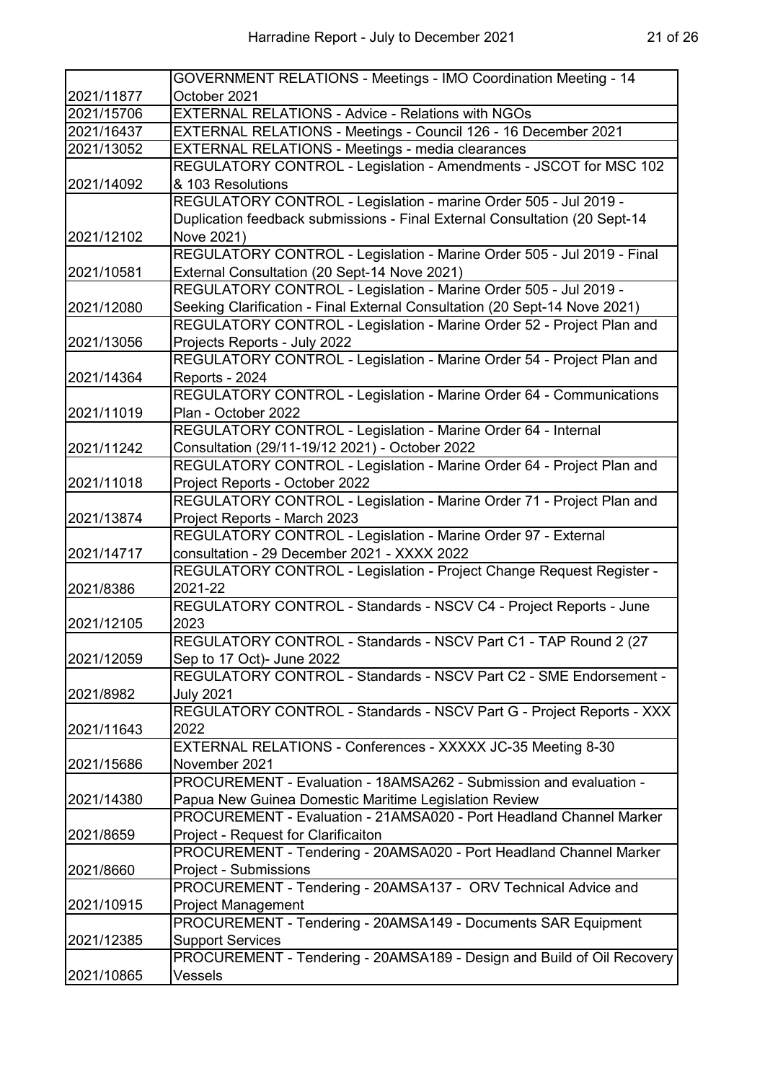|            | GOVERNMENT RELATIONS - Meetings - IMO Coordination Meeting - 14            |
|------------|----------------------------------------------------------------------------|
| 2021/11877 | October 2021                                                               |
| 2021/15706 | <b>EXTERNAL RELATIONS - Advice - Relations with NGOs</b>                   |
| 2021/16437 | EXTERNAL RELATIONS - Meetings - Council 126 - 16 December 2021             |
| 2021/13052 | <b>EXTERNAL RELATIONS - Meetings - media clearances</b>                    |
|            | REGULATORY CONTROL - Legislation - Amendments - JSCOT for MSC 102          |
| 2021/14092 | & 103 Resolutions                                                          |
|            | REGULATORY CONTROL - Legislation - marine Order 505 - Jul 2019 -           |
|            | Duplication feedback submissions - Final External Consultation (20 Sept-14 |
| 2021/12102 | Nove 2021)                                                                 |
|            | REGULATORY CONTROL - Legislation - Marine Order 505 - Jul 2019 - Final     |
| 2021/10581 | External Consultation (20 Sept-14 Nove 2021)                               |
|            | REGULATORY CONTROL - Legislation - Marine Order 505 - Jul 2019 -           |
| 2021/12080 | Seeking Clarification - Final External Consultation (20 Sept-14 Nove 2021) |
|            | REGULATORY CONTROL - Legislation - Marine Order 52 - Project Plan and      |
| 2021/13056 | Projects Reports - July 2022                                               |
|            | REGULATORY CONTROL - Legislation - Marine Order 54 - Project Plan and      |
| 2021/14364 | Reports - 2024                                                             |
|            | REGULATORY CONTROL - Legislation - Marine Order 64 - Communications        |
| 2021/11019 | Plan - October 2022                                                        |
|            | REGULATORY CONTROL - Legislation - Marine Order 64 - Internal              |
| 2021/11242 | Consultation (29/11-19/12 2021) - October 2022                             |
|            | REGULATORY CONTROL - Legislation - Marine Order 64 - Project Plan and      |
| 2021/11018 | Project Reports - October 2022                                             |
|            | REGULATORY CONTROL - Legislation - Marine Order 71 - Project Plan and      |
| 2021/13874 | Project Reports - March 2023                                               |
|            | REGULATORY CONTROL - Legislation - Marine Order 97 - External              |
| 2021/14717 | consultation - 29 December 2021 - XXXX 2022                                |
|            | REGULATORY CONTROL - Legislation - Project Change Request Register -       |
| 2021/8386  | 2021-22                                                                    |
|            | REGULATORY CONTROL - Standards - NSCV C4 - Project Reports - June          |
| 2021/12105 | 2023                                                                       |
|            | REGULATORY CONTROL - Standards - NSCV Part C1 - TAP Round 2 (27            |
| 2021/12059 | Sep to 17 Oct)- June 2022                                                  |
|            | REGULATORY CONTROL - Standards - NSCV Part C2 - SME Endorsement -          |
| 2021/8982  | <b>July 2021</b>                                                           |
|            | REGULATORY CONTROL - Standards - NSCV Part G - Project Reports - XXX       |
| 2021/11643 | 2022                                                                       |
|            | EXTERNAL RELATIONS - Conferences - XXXXX JC-35 Meeting 8-30                |
| 2021/15686 | November 2021                                                              |
|            | PROCUREMENT - Evaluation - 18AMSA262 - Submission and evaluation -         |
| 2021/14380 | Papua New Guinea Domestic Maritime Legislation Review                      |
|            | PROCUREMENT - Evaluation - 21AMSA020 - Port Headland Channel Marker        |
| 2021/8659  | Project - Request for Clarificaiton                                        |
|            | PROCUREMENT - Tendering - 20AMSA020 - Port Headland Channel Marker         |
| 2021/8660  | Project - Submissions                                                      |
|            | PROCUREMENT - Tendering - 20AMSA137 - ORV Technical Advice and             |
| 2021/10915 | <b>Project Management</b>                                                  |
|            | PROCUREMENT - Tendering - 20AMSA149 - Documents SAR Equipment              |
| 2021/12385 | <b>Support Services</b>                                                    |
|            | PROCUREMENT - Tendering - 20AMSA189 - Design and Build of Oil Recovery     |
| 2021/10865 | Vessels                                                                    |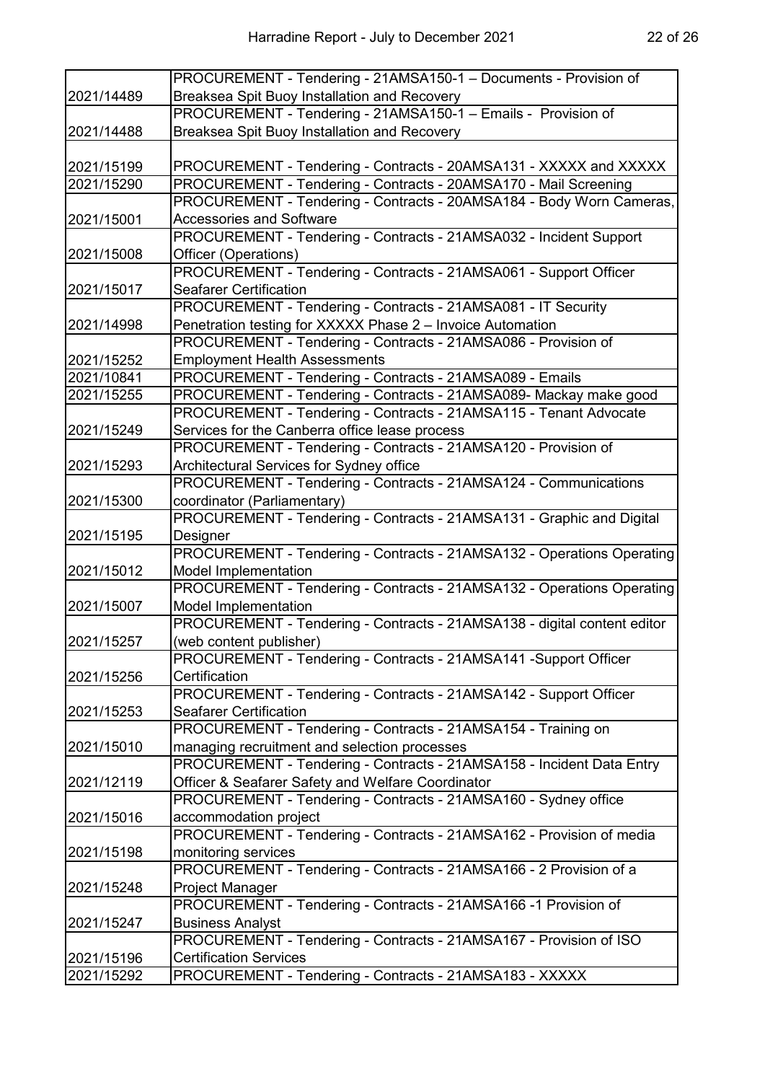|                          | PROCUREMENT - Tendering - 21AMSA150-1 - Documents - Provision of                                                                       |
|--------------------------|----------------------------------------------------------------------------------------------------------------------------------------|
| 2021/14489               | Breaksea Spit Buoy Installation and Recovery                                                                                           |
|                          | PROCUREMENT - Tendering - 21AMSA150-1 - Emails - Provision of                                                                          |
| 2021/14488               | Breaksea Spit Buoy Installation and Recovery                                                                                           |
|                          |                                                                                                                                        |
| 2021/15199               | PROCUREMENT - Tendering - Contracts - 20AMSA131 - XXXXX and XXXXX                                                                      |
| 2021/15290               | PROCUREMENT - Tendering - Contracts - 20AMSA170 - Mail Screening                                                                       |
|                          | PROCUREMENT - Tendering - Contracts - 20AMSA184 - Body Worn Cameras,                                                                   |
| 2021/15001               | <b>Accessories and Software</b>                                                                                                        |
|                          | PROCUREMENT - Tendering - Contracts - 21AMSA032 - Incident Support                                                                     |
| 2021/15008               | Officer (Operations)                                                                                                                   |
|                          | PROCUREMENT - Tendering - Contracts - 21AMSA061 - Support Officer                                                                      |
| 2021/15017               | <b>Seafarer Certification</b>                                                                                                          |
|                          | PROCUREMENT - Tendering - Contracts - 21AMSA081 - IT Security                                                                          |
| 2021/14998               | Penetration testing for XXXXX Phase 2 - Invoice Automation                                                                             |
|                          | PROCUREMENT - Tendering - Contracts - 21AMSA086 - Provision of                                                                         |
| 2021/15252               | <b>Employment Health Assessments</b>                                                                                                   |
| 2021/10841<br>2021/15255 | PROCUREMENT - Tendering - Contracts - 21AMSA089 - Emails                                                                               |
|                          | PROCUREMENT - Tendering - Contracts - 21AMSA089- Mackay make good<br>PROCUREMENT - Tendering - Contracts - 21AMSA115 - Tenant Advocate |
| 2021/15249               | Services for the Canberra office lease process                                                                                         |
|                          | PROCUREMENT - Tendering - Contracts - 21AMSA120 - Provision of                                                                         |
| 2021/15293               | Architectural Services for Sydney office                                                                                               |
|                          | PROCUREMENT - Tendering - Contracts - 21AMSA124 - Communications                                                                       |
| 2021/15300               | coordinator (Parliamentary)                                                                                                            |
|                          | PROCUREMENT - Tendering - Contracts - 21AMSA131 - Graphic and Digital                                                                  |
| 2021/15195               | Designer                                                                                                                               |
|                          | PROCUREMENT - Tendering - Contracts - 21AMSA132 - Operations Operating                                                                 |
| 2021/15012               | <b>Model Implementation</b>                                                                                                            |
|                          | PROCUREMENT - Tendering - Contracts - 21AMSA132 - Operations Operating                                                                 |
| 2021/15007               | Model Implementation                                                                                                                   |
|                          | PROCUREMENT - Tendering - Contracts - 21AMSA138 - digital content editor                                                               |
| 2021/15257               | (web content publisher)                                                                                                                |
|                          | PROCUREMENT - Tendering - Contracts - 21AMSA141 - Support Officer                                                                      |
| 2021/15256               | Certification                                                                                                                          |
|                          | PROCUREMENT - Tendering - Contracts - 21AMSA142 - Support Officer                                                                      |
| 2021/15253               | <b>Seafarer Certification</b>                                                                                                          |
|                          | PROCUREMENT - Tendering - Contracts - 21AMSA154 - Training on                                                                          |
| 2021/15010               | managing recruitment and selection processes                                                                                           |
|                          | PROCUREMENT - Tendering - Contracts - 21AMSA158 - Incident Data Entry                                                                  |
| 2021/12119               | Officer & Seafarer Safety and Welfare Coordinator                                                                                      |
|                          | PROCUREMENT - Tendering - Contracts - 21AMSA160 - Sydney office                                                                        |
| 2021/15016               | accommodation project                                                                                                                  |
|                          | PROCUREMENT - Tendering - Contracts - 21AMSA162 - Provision of media                                                                   |
| 2021/15198               | monitoring services                                                                                                                    |
|                          | PROCUREMENT - Tendering - Contracts - 21AMSA166 - 2 Provision of a                                                                     |
| 2021/15248               | Project Manager                                                                                                                        |
|                          | PROCUREMENT - Tendering - Contracts - 21AMSA166 -1 Provision of                                                                        |
| 2021/15247               | <b>Business Analyst</b><br>PROCUREMENT - Tendering - Contracts - 21AMSA167 - Provision of ISO                                          |
| 2021/15196               | <b>Certification Services</b>                                                                                                          |
| 2021/15292               | PROCUREMENT - Tendering - Contracts - 21AMSA183 - XXXXX                                                                                |
|                          |                                                                                                                                        |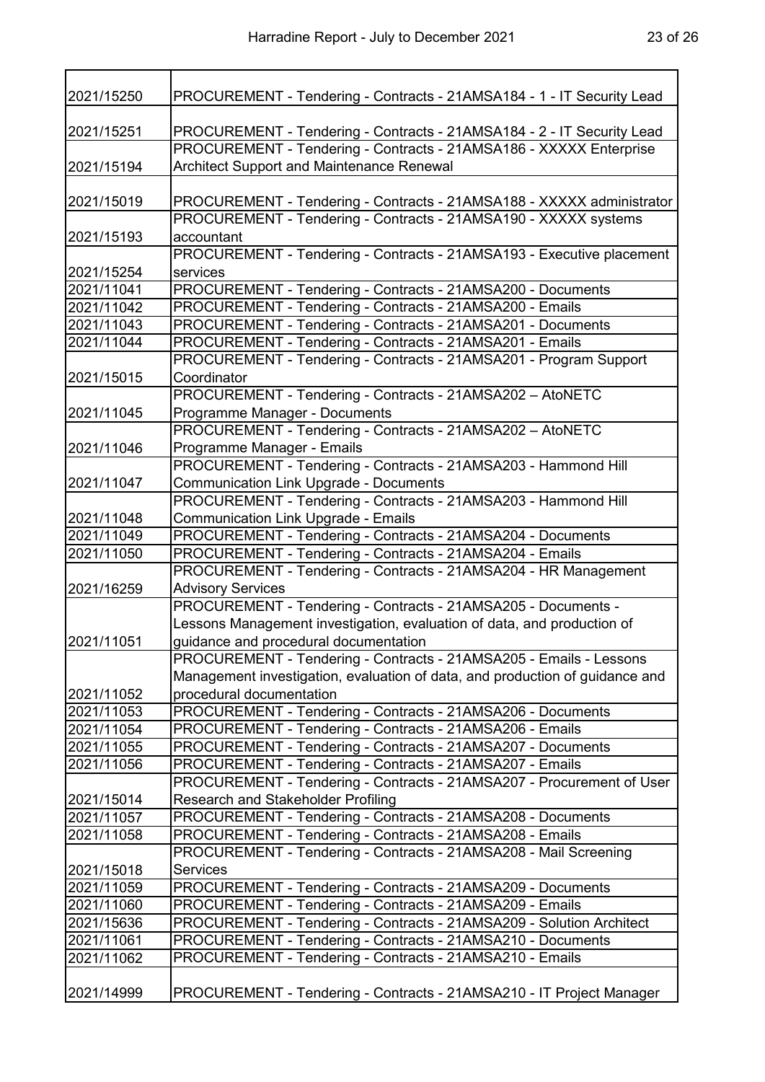| 2021/15250 | PROCUREMENT - Tendering - Contracts - 21AMSA184 - 1 - IT Security Lead       |
|------------|------------------------------------------------------------------------------|
|            |                                                                              |
| 2021/15251 | PROCUREMENT - Tendering - Contracts - 21AMSA184 - 2 - IT Security Lead       |
|            | PROCUREMENT - Tendering - Contracts - 21AMSA186 - XXXXX Enterprise           |
| 2021/15194 | Architect Support and Maintenance Renewal                                    |
| 2021/15019 | PROCUREMENT - Tendering - Contracts - 21AMSA188 - XXXXX administrator        |
|            | PROCUREMENT - Tendering - Contracts - 21AMSA190 - XXXXX systems              |
| 2021/15193 | accountant                                                                   |
|            | PROCUREMENT - Tendering - Contracts - 21AMSA193 - Executive placement        |
| 2021/15254 | services                                                                     |
| 2021/11041 | PROCUREMENT - Tendering - Contracts - 21AMSA200 - Documents                  |
| 2021/11042 | PROCUREMENT - Tendering - Contracts - 21AMSA200 - Emails                     |
| 2021/11043 | PROCUREMENT - Tendering - Contracts - 21AMSA201 - Documents                  |
|            |                                                                              |
| 2021/11044 | PROCUREMENT - Tendering - Contracts - 21AMSA201 - Emails                     |
|            | PROCUREMENT - Tendering - Contracts - 21AMSA201 - Program Support            |
| 2021/15015 | Coordinator                                                                  |
|            | PROCUREMENT - Tendering - Contracts - 21AMSA202 - AtoNETC                    |
| 2021/11045 | Programme Manager - Documents                                                |
|            | PROCUREMENT - Tendering - Contracts - 21AMSA202 - AtoNETC                    |
| 2021/11046 | Programme Manager - Emails                                                   |
|            | PROCUREMENT - Tendering - Contracts - 21AMSA203 - Hammond Hill               |
| 2021/11047 | <b>Communication Link Upgrade - Documents</b>                                |
|            | PROCUREMENT - Tendering - Contracts - 21AMSA203 - Hammond Hill               |
| 2021/11048 | <b>Communication Link Upgrade - Emails</b>                                   |
| 2021/11049 | PROCUREMENT - Tendering - Contracts - 21AMSA204 - Documents                  |
| 2021/11050 | PROCUREMENT - Tendering - Contracts - 21AMSA204 - Emails                     |
|            | PROCUREMENT - Tendering - Contracts - 21AMSA204 - HR Management              |
| 2021/16259 | <b>Advisory Services</b>                                                     |
|            | PROCUREMENT - Tendering - Contracts - 21AMSA205 - Documents -                |
|            | Lessons Management investigation, evaluation of data, and production of      |
| 2021/11051 | guidance and procedural documentation                                        |
|            | PROCUREMENT - Tendering - Contracts - 21AMSA205 - Emails - Lessons           |
|            | Management investigation, evaluation of data, and production of guidance and |
| 2021/11052 | procedural documentation                                                     |
| 2021/11053 | PROCUREMENT - Tendering - Contracts - 21AMSA206 - Documents                  |
| 2021/11054 | PROCUREMENT - Tendering - Contracts - 21AMSA206 - Emails                     |
| 2021/11055 | PROCUREMENT - Tendering - Contracts - 21AMSA207 - Documents                  |
| 2021/11056 | PROCUREMENT - Tendering - Contracts - 21AMSA207 - Emails                     |
|            | PROCUREMENT - Tendering - Contracts - 21AMSA207 - Procurement of User        |
| 2021/15014 | Research and Stakeholder Profiling                                           |
| 2021/11057 | PROCUREMENT - Tendering - Contracts - 21AMSA208 - Documents                  |
| 2021/11058 | PROCUREMENT - Tendering - Contracts - 21AMSA208 - Emails                     |
|            | PROCUREMENT - Tendering - Contracts - 21AMSA208 - Mail Screening             |
| 2021/15018 | <b>Services</b>                                                              |
| 2021/11059 | PROCUREMENT - Tendering - Contracts - 21AMSA209 - Documents                  |
| 2021/11060 | PROCUREMENT - Tendering - Contracts - 21AMSA209 - Emails                     |
| 2021/15636 | PROCUREMENT - Tendering - Contracts - 21AMSA209 - Solution Architect         |
| 2021/11061 | PROCUREMENT - Tendering - Contracts - 21AMSA210 - Documents                  |
| 2021/11062 | PROCUREMENT - Tendering - Contracts - 21AMSA210 - Emails                     |
|            |                                                                              |

2021/14999 PROCUREMENT - Tendering - Contracts - 21AMSA210 - IT Project Manager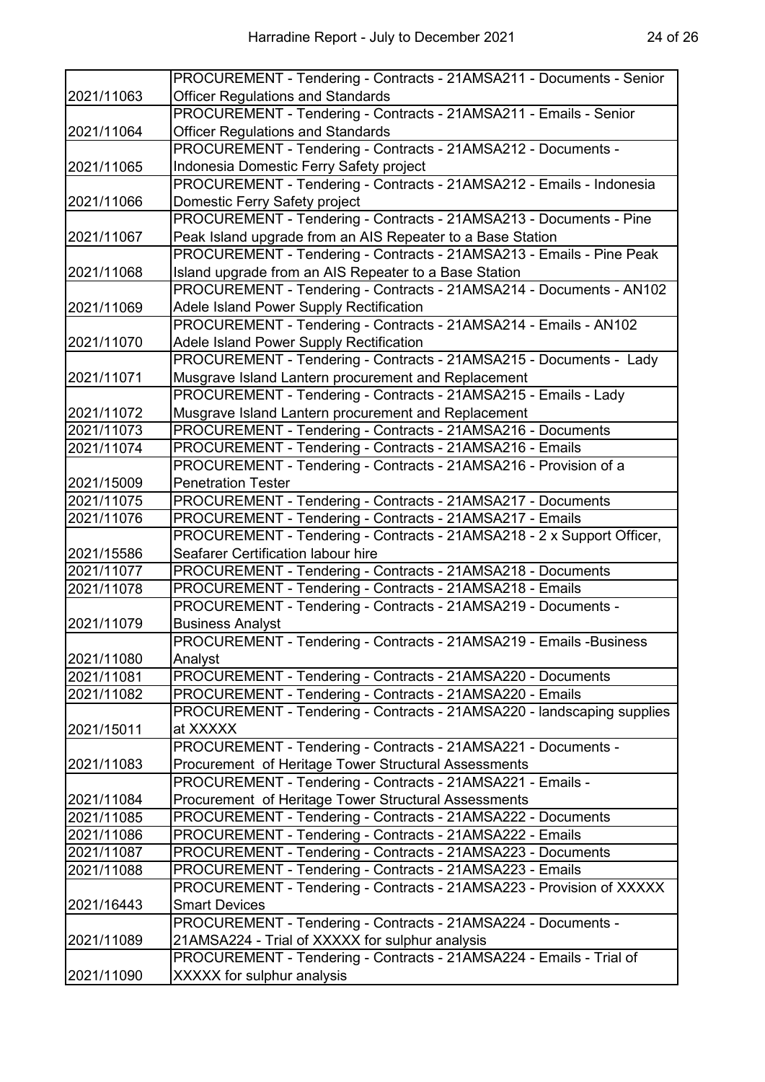|            | PROCUREMENT - Tendering - Contracts - 21AMSA211 - Documents - Senior                                               |
|------------|--------------------------------------------------------------------------------------------------------------------|
| 2021/11063 | <b>Officer Regulations and Standards</b>                                                                           |
|            | PROCUREMENT - Tendering - Contracts - 21AMSA211 - Emails - Senior                                                  |
| 2021/11064 | <b>Officer Regulations and Standards</b>                                                                           |
|            | PROCUREMENT - Tendering - Contracts - 21AMSA212 - Documents -                                                      |
| 2021/11065 | Indonesia Domestic Ferry Safety project                                                                            |
|            | PROCUREMENT - Tendering - Contracts - 21AMSA212 - Emails - Indonesia                                               |
| 2021/11066 | Domestic Ferry Safety project                                                                                      |
|            | PROCUREMENT - Tendering - Contracts - 21AMSA213 - Documents - Pine                                                 |
| 2021/11067 | Peak Island upgrade from an AIS Repeater to a Base Station                                                         |
|            | PROCUREMENT - Tendering - Contracts - 21AMSA213 - Emails - Pine Peak                                               |
| 2021/11068 | Island upgrade from an AIS Repeater to a Base Station                                                              |
|            | PROCUREMENT - Tendering - Contracts - 21AMSA214 - Documents - AN102                                                |
| 2021/11069 | Adele Island Power Supply Rectification                                                                            |
|            | PROCUREMENT - Tendering - Contracts - 21AMSA214 - Emails - AN102                                                   |
| 2021/11070 | Adele Island Power Supply Rectification                                                                            |
|            | PROCUREMENT - Tendering - Contracts - 21AMSA215 - Documents - Lady                                                 |
| 2021/11071 | Musgrave Island Lantern procurement and Replacement                                                                |
|            | PROCUREMENT - Tendering - Contracts - 21AMSA215 - Emails - Lady                                                    |
| 2021/11072 | Musgrave Island Lantern procurement and Replacement                                                                |
| 2021/11073 | PROCUREMENT - Tendering - Contracts - 21AMSA216 - Documents                                                        |
| 2021/11074 | PROCUREMENT - Tendering - Contracts - 21AMSA216 - Emails                                                           |
|            | PROCUREMENT - Tendering - Contracts - 21AMSA216 - Provision of a                                                   |
| 2021/15009 | <b>Penetration Tester</b>                                                                                          |
| 2021/11075 | PROCUREMENT - Tendering - Contracts - 21AMSA217 - Documents                                                        |
| 2021/11076 | PROCUREMENT - Tendering - Contracts - 21AMSA217 - Emails                                                           |
|            | PROCUREMENT - Tendering - Contracts - 21AMSA218 - 2 x Support Officer,                                             |
| 2021/15586 | Seafarer Certification labour hire                                                                                 |
| 2021/11077 | PROCUREMENT - Tendering - Contracts - 21AMSA218 - Documents                                                        |
| 2021/11078 | PROCUREMENT - Tendering - Contracts - 21AMSA218 - Emails                                                           |
|            | PROCUREMENT - Tendering - Contracts - 21AMSA219 - Documents -                                                      |
| 2021/11079 | <b>Business Analyst</b>                                                                                            |
|            | PROCUREMENT - Tendering - Contracts - 21AMSA219 - Emails -Business                                                 |
| 2021/11080 | Analyst                                                                                                            |
| 2021/11081 | PROCUREMENT - Tendering - Contracts - 21AMSA220 - Documents                                                        |
| 2021/11082 | PROCUREMENT - Tendering - Contracts - 21AMSA220 - Emails                                                           |
|            | PROCUREMENT - Tendering - Contracts - 21AMSA220 - landscaping supplies<br>at XXXXX                                 |
| 2021/15011 |                                                                                                                    |
| 2021/11083 | PROCUREMENT - Tendering - Contracts - 21AMSA221 - Documents -                                                      |
|            | Procurement of Heritage Tower Structural Assessments<br>PROCUREMENT - Tendering - Contracts - 21AMSA221 - Emails - |
| 2021/11084 | Procurement of Heritage Tower Structural Assessments                                                               |
| 2021/11085 | PROCUREMENT - Tendering - Contracts - 21AMSA222 - Documents                                                        |
| 2021/11086 | PROCUREMENT - Tendering - Contracts - 21AMSA222 - Emails                                                           |
| 2021/11087 | PROCUREMENT - Tendering - Contracts - 21AMSA223 - Documents                                                        |
| 2021/11088 | PROCUREMENT - Tendering - Contracts - 21AMSA223 - Emails                                                           |
|            | PROCUREMENT - Tendering - Contracts - 21AMSA223 - Provision of XXXXX                                               |
| 2021/16443 | <b>Smart Devices</b>                                                                                               |
|            | PROCUREMENT - Tendering - Contracts - 21AMSA224 - Documents -                                                      |
| 2021/11089 | 21AMSA224 - Trial of XXXXX for sulphur analysis                                                                    |
|            | PROCUREMENT - Tendering - Contracts - 21AMSA224 - Emails - Trial of                                                |
| 2021/11090 | XXXXX for sulphur analysis                                                                                         |
|            |                                                                                                                    |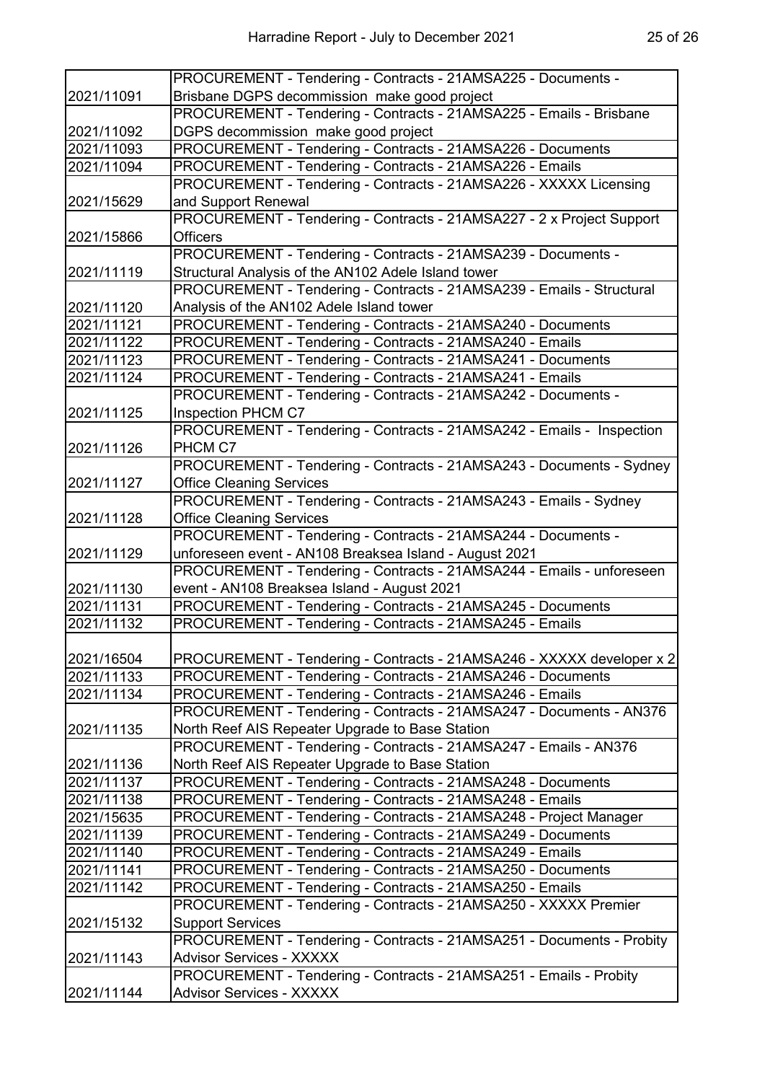|            | PROCUREMENT - Tendering - Contracts - 21AMSA225 - Documents -         |
|------------|-----------------------------------------------------------------------|
| 2021/11091 | Brisbane DGPS decommission make good project                          |
|            | PROCUREMENT - Tendering - Contracts - 21AMSA225 - Emails - Brisbane   |
| 2021/11092 | DGPS decommission make good project                                   |
| 2021/11093 | PROCUREMENT - Tendering - Contracts - 21AMSA226 - Documents           |
| 2021/11094 | PROCUREMENT - Tendering - Contracts - 21AMSA226 - Emails              |
|            | PROCUREMENT - Tendering - Contracts - 21AMSA226 - XXXXX Licensing     |
| 2021/15629 | and Support Renewal                                                   |
|            | PROCUREMENT - Tendering - Contracts - 21AMSA227 - 2 x Project Support |
| 2021/15866 | <b>Officers</b>                                                       |
|            | PROCUREMENT - Tendering - Contracts - 21AMSA239 - Documents -         |
| 2021/11119 | Structural Analysis of the AN102 Adele Island tower                   |
|            | PROCUREMENT - Tendering - Contracts - 21AMSA239 - Emails - Structural |
| 2021/11120 | Analysis of the AN102 Adele Island tower                              |
| 2021/11121 | PROCUREMENT - Tendering - Contracts - 21AMSA240 - Documents           |
| 2021/11122 | PROCUREMENT - Tendering - Contracts - 21AMSA240 - Emails              |
| 2021/11123 | PROCUREMENT - Tendering - Contracts - 21AMSA241 - Documents           |
| 2021/11124 | PROCUREMENT - Tendering - Contracts - 21AMSA241 - Emails              |
|            | PROCUREMENT - Tendering - Contracts - 21AMSA242 - Documents -         |
| 2021/11125 | Inspection PHCM C7                                                    |
|            | PROCUREMENT - Tendering - Contracts - 21AMSA242 - Emails - Inspection |
| 2021/11126 | PHCM C7                                                               |
|            | PROCUREMENT - Tendering - Contracts - 21AMSA243 - Documents - Sydney  |
| 2021/11127 | <b>Office Cleaning Services</b>                                       |
|            | PROCUREMENT - Tendering - Contracts - 21AMSA243 - Emails - Sydney     |
| 2021/11128 | <b>Office Cleaning Services</b>                                       |
|            | PROCUREMENT - Tendering - Contracts - 21AMSA244 - Documents -         |
| 2021/11129 | unforeseen event - AN108 Breaksea Island - August 2021                |
|            | PROCUREMENT - Tendering - Contracts - 21AMSA244 - Emails - unforeseen |
| 2021/11130 | event - AN108 Breaksea Island - August 2021                           |
| 2021/11131 | PROCUREMENT - Tendering - Contracts - 21AMSA245 - Documents           |
| 2021/11132 | PROCUREMENT - Tendering - Contracts - 21AMSA245 - Emails              |
|            |                                                                       |
| 2021/16504 | PROCUREMENT - Tendering - Contracts - 21AMSA246 - XXXXX developer x 2 |
| 2021/11133 | PROCUREMENT - Tendering - Contracts - 21AMSA246 - Documents           |
| 2021/11134 | PROCUREMENT - Tendering - Contracts - 21AMSA246 - Emails              |
|            | PROCUREMENT - Tendering - Contracts - 21AMSA247 - Documents - AN376   |
| 2021/11135 | North Reef AIS Repeater Upgrade to Base Station                       |
|            | PROCUREMENT - Tendering - Contracts - 21AMSA247 - Emails - AN376      |
| 2021/11136 | North Reef AIS Repeater Upgrade to Base Station                       |
| 2021/11137 | PROCUREMENT - Tendering - Contracts - 21AMSA248 - Documents           |
| 2021/11138 | PROCUREMENT - Tendering - Contracts - 21AMSA248 - Emails              |
| 2021/15635 | PROCUREMENT - Tendering - Contracts - 21AMSA248 - Project Manager     |
| 2021/11139 | PROCUREMENT - Tendering - Contracts - 21AMSA249 - Documents           |
| 2021/11140 | PROCUREMENT - Tendering - Contracts - 21AMSA249 - Emails              |
| 2021/11141 | PROCUREMENT - Tendering - Contracts - 21AMSA250 - Documents           |
| 2021/11142 | PROCUREMENT - Tendering - Contracts - 21AMSA250 - Emails              |
|            | PROCUREMENT - Tendering - Contracts - 21AMSA250 - XXXXX Premier       |
| 2021/15132 | <b>Support Services</b>                                               |
|            | PROCUREMENT - Tendering - Contracts - 21AMSA251 - Documents - Probity |
| 2021/11143 | <b>Advisor Services - XXXXX</b>                                       |
|            | PROCUREMENT - Tendering - Contracts - 21AMSA251 - Emails - Probity    |
| 2021/11144 | <b>Advisor Services - XXXXX</b>                                       |